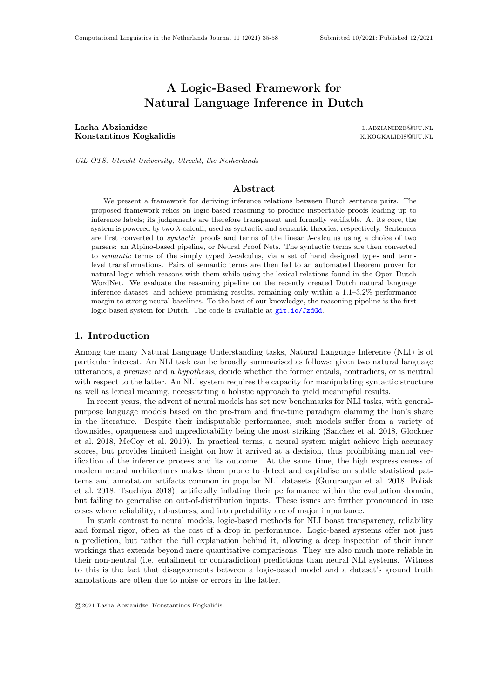# A Logic-Based Framework for Natural Language Inference in Dutch

Lasha Abzianidze l.abzianidze l.abzianidze l.abzianidze Konstantinos Kogkalidis **k.kogkalidis** k.kogkalidis k.kogkalidis k.kogkalidis k.kogkalidis k.kogkalidis k.kogkalidis k.kogkalidis k.kogkalidis k.kogkalidis k.kogkalidis k.kogkalidis k.kogkalidis k.kogkalidis k.kogkalidis k

UiL OTS, Utrecht University, Utrecht, the Netherlands

# Abstract

We present a framework for deriving inference relations between Dutch sentence pairs. The proposed framework relies on logic-based reasoning to produce inspectable proofs leading up to inference labels; its judgements are therefore transparent and formally verifiable. At its core, the system is powered by two  $\lambda$ -calculi, used as syntactic and semantic theories, respectively. Sentences are first converted to *syntactic* proofs and terms of the linear  $\lambda$ -calculus using a choice of two parsers: an Alpino-based pipeline, or Neural Proof Nets. The syntactic terms are then converted to semantic terms of the simply typed λ-calculus, via a set of hand designed type- and termlevel transformations. Pairs of semantic terms are then fed to an automated theorem prover for natural logic which reasons with them while using the lexical relations found in the Open Dutch WordNet. We evaluate the reasoning pipeline on the recently created Dutch natural language inference dataset, and achieve promising results, remaining only within a 1.1–3.2% performance margin to strong neural baselines. To the best of our knowledge, the reasoning pipeline is the first logic-based system for Dutch. The code is available at <git.io/JzdGd>.

# 1. Introduction

Among the many Natural Language Understanding tasks, Natural Language Inference (NLI) is of particular interest. An NLI task can be broadly summarised as follows: given two natural language utterances, a premise and a hypothesis, decide whether the former entails, contradicts, or is neutral with respect to the latter. An NLI system requires the capacity for manipulating syntactic structure as well as lexical meaning, necessitating a holistic approach to yield meaningful results.

In recent years, the advent of neural models has set new benchmarks for NLI tasks, with generalpurpose language models based on the pre-train and fine-tune paradigm claiming the lion's share in the literature. Despite their indisputable performance, such models suffer from a variety of downsides, opaqueness and unpredictability being the most striking (Sanchez et al. 2018, Glockner et al. 2018, McCoy et al. 2019). In practical terms, a neural system might achieve high accuracy scores, but provides limited insight on how it arrived at a decision, thus prohibiting manual verification of the inference process and its outcome. At the same time, the high expressiveness of modern neural architectures makes them prone to detect and capitalise on subtle statistical patterns and annotation artifacts common in popular NLI datasets (Gururangan et al. 2018, Poliak et al. 2018, Tsuchiya 2018), artificially inflating their performance within the evaluation domain, but failing to generalise on out-of-distribution inputs. These issues are further pronounced in use cases where reliability, robustness, and interpretability are of major importance.

In stark contrast to neural models, logic-based methods for NLI boast transparency, reliability and formal rigor, often at the cost of a drop in performance. Logic-based systems offer not just a prediction, but rather the full explanation behind it, allowing a deep inspection of their inner workings that extends beyond mere quantitative comparisons. They are also much more reliable in their non-neutral (i.e. entailment or contradiction) predictions than neural NLI systems. Witness to this is the fact that disagreements between a logic-based model and a dataset's ground truth annotations are often due to noise or errors in the latter.

©2021 Lasha Abzianidze, Konstantinos Kogkalidis.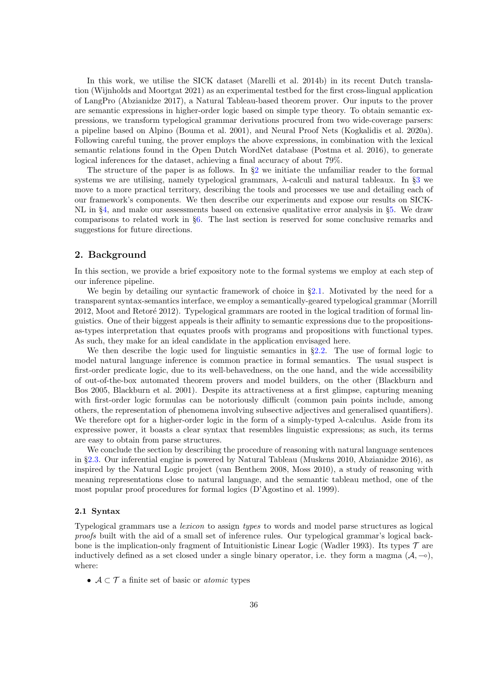In this work, we utilise the SICK dataset (Marelli et al. 2014b) in its recent Dutch translation (Wijnholds and Moortgat 2021) as an experimental testbed for the first cross-lingual application of LangPro (Abzianidze 2017), a Natural Tableau-based theorem prover. Our inputs to the prover are semantic expressions in higher-order logic based on simple type theory. To obtain semantic expressions, we transform typelogical grammar derivations procured from two wide-coverage parsers: a pipeline based on Alpino (Bouma et al. 2001), and Neural Proof Nets (Kogkalidis et al. 2020a). Following careful tuning, the prover employs the above expressions, in combination with the lexical semantic relations found in the Open Dutch WordNet database (Postma et al. 2016), to generate logical inferences for the dataset, achieving a final accuracy of about 79%.

The structure of the paper is as follows. In  $\S2$  $\S2$  we initiate the unfamiliar reader to the formal systems we are utilising, namely typelogical grammars,  $\lambda$ -calculi and natural tableaux. In §[3](#page-6-0) we move to a more practical territory, describing the tools and processes we use and detailing each of our framework's components. We then describe our experiments and expose our results on SICK-NL in §[4,](#page-10-0) and make our assessments based on extensive qualitative error analysis in §[5.](#page-13-0) We draw comparisons to related work in §[6.](#page-17-0) The last section is reserved for some conclusive remarks and suggestions for future directions.

# <span id="page-1-0"></span>2. Background

In this section, we provide a brief expository note to the formal systems we employ at each step of our inference pipeline.

We begin by detailing our syntactic framework of choice in  $\S2.1$ . Motivated by the need for a transparent syntax-semantics interface, we employ a semantically-geared typelogical grammar (Morrill 2012, Moot and Retoré 2012). Typelogical grammars are rooted in the logical tradition of formal linguistics. One of their biggest appeals is their affinity to semantic expressions due to the propositionsas-types interpretation that equates proofs with programs and propositions with functional types. As such, they make for an ideal candidate in the application envisaged here.

We then describe the logic used for linguistic semantics in  $\S 2.2$ . The use of formal logic to model natural language inference is common practice in formal semantics. The usual suspect is first-order predicate logic, due to its well-behavedness, on the one hand, and the wide accessibility of out-of-the-box automated theorem provers and model builders, on the other (Blackburn and Bos 2005, Blackburn et al. 2001). Despite its attractiveness at a first glimpse, capturing meaning with first-order logic formulas can be notoriously difficult (common pain points include, among others, the representation of phenomena involving subsective adjectives and generalised quantifiers). We therefore opt for a higher-order logic in the form of a simply-typed  $\lambda$ -calculus. Aside from its expressive power, it boasts a clear syntax that resembles linguistic expressions; as such, its terms are easy to obtain from parse structures.

We conclude the section by describing the procedure of reasoning with natural language sentences in §[2.3.](#page-3-1) Our inferential engine is powered by Natural Tableau (Muskens 2010, Abzianidze 2016), as inspired by the Natural Logic project (van Benthem 2008, Moss 2010), a study of reasoning with meaning representations close to natural language, and the semantic tableau method, one of the most popular proof procedures for formal logics (D'Agostino et al. 1999).

#### <span id="page-1-1"></span>2.1 Syntax

Typelogical grammars use a lexicon to assign types to words and model parse structures as logical proofs built with the aid of a small set of inference rules. Our typelogical grammar's logical backbone is the implication-only fragment of Intuitionistic Linear Logic (Wadler 1993). Its types  $\mathcal T$  are inductively defined as a set closed under a single binary operator, i.e. they form a magma  $(A, \neg \circ)$ , where:

•  $A \subset \mathcal{T}$  a finite set of basic or *atomic* types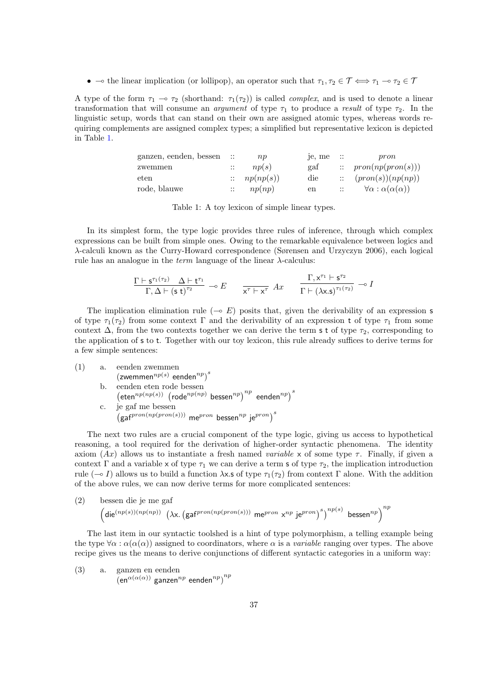•  $\rightarrow$  the linear implication (or lollipop), an operator such that  $\tau_1, \tau_2 \in \mathcal{T} \iff \tau_1 \to \tau_2 \in \mathcal{T}$ 

<span id="page-2-0"></span>A type of the form  $\tau_1 \to \tau_2$  (shorthand:  $\tau_1(\tau_2)$ ) is called *complex*, and is used to denote a linear transformation that will consume an *argument* of type  $\tau_1$  to produce a result of type  $\tau_2$ . In the linguistic setup, words that can stand on their own are assigned atomic types, whereas words requiring complements are assigned complex types; a simplified but representative lexicon is depicted in Table [1.](#page-2-0)

| ganzen, eenden, bessen | $\sim$ 11 $\sim$          | np                       | je, me      | $\sim$ $\mathbb{R}$      | pron                                      |
|------------------------|---------------------------|--------------------------|-------------|--------------------------|-------------------------------------------|
| zwemmen                | $\mathbb{R}^+$            | np(s)                    | gaf         |                          | $\therefore$ pron(np(pron(s)))            |
| eten                   |                           | $\therefore$ $np(np(s))$ | die         |                          | $\therefore$ $(pron(s))(np(np))$          |
| rode, blauwe           | $\mathbb{R}^{\mathbb{Z}}$ | np(np)                   | $_{\rm en}$ | <b>Contract Contract</b> | $\forall \alpha : \alpha(\alpha(\alpha))$ |

Table 1: A toy lexicon of simple linear types.

In its simplest form, the type logic provides three rules of inference, through which complex expressions can be built from simple ones. Owing to the remarkable equivalence between logics and λ-calculi known as the Curry-Howard correspondence (Sørensen and Urzyczyn 2006), each logical rule has an analogue in the *term* language of the linear  $\lambda$ -calculus:

$$
\frac{\Gamma\vdash s^{\tau_1(\tau_2)}\quad \Delta\vdash t^{\tau_1}}{\Gamma,\Delta\vdash (s\ t)^{\tau_2}}\ \multimap E\ \qquad \frac{\Gamma,x^{\tau_1}\vdash s^{\tau_2}}{x^{\tau}\vdash x^{\tau}}\ Ax\ \qquad \frac{\Gamma,\mathsf{x}^{\tau_1}\vdash s^{\tau_2}}{\Gamma\vdash (\lambda\mathsf{x}.\mathsf{s})^{\tau_1(\tau_2)}}\ \multimap I
$$

The implication elimination rule ( $\sim E$ ) posits that, given the derivability of an expression s of type  $\tau_1(\tau_2)$  from some context Γ and the derivability of an expression t of type  $\tau_1$  from some context  $\Delta$ , from the two contexts together we can derive the term s t of type  $\tau_2$ , corresponding to the application of s to t. Together with our toy lexicon, this rule already suffices to derive terms for a few simple sentences:

(1) a. eenden zwemmen  $(z$ wemmen $^{np(s)}$  eenden $^{np}$ )<sup>s</sup> b. eenden eten rode bessen  $\left(\text{eten}^{np(np(s))}\right)$  (rode<sup>np(np)</sup> bessen<sup>np</sup>)<sup>np</sup> eenden<sup>np</sup>)<sup>s</sup> c. je gaf me bessen  $\int_{0}^{\infty}$  (gaf $^{pron(np(pron(s)))}$  me $^{pron}$  bessen $^{np}$  je $^{pron}$ ) $^{s}$ 

The next two rules are a crucial component of the type logic, giving us access to hypothetical reasoning, a tool required for the derivation of higher-order syntactic phenomena. The identity axiom  $(Ax)$  allows us to instantiate a fresh named variable x of some type  $\tau$ . Finally, if given a context Γ and a variable x of type  $\tau_1$  we can derive a term s of type  $\tau_2$ , the implication introduction rule ( $\sim I$ ) allows us to build a function  $\lambda x$ .s of type  $\tau_1(\tau_2)$  from context Γ alone. With the addition of the above rules, we can now derive terms for more complicated sentences:

(2) bessen die je me gaf  

$$
\left(\text{die}^{(np(s))(np(np))}\right)\left(\lambda x.\left(\text{gaf}^{pron(np(pron(s)))}\text{ me}^{pron} x^{np}\text{ je}^{pron}\right)^s\right)^{np(s)} \text{bessen}^{np}\right)^{np}
$$

The last item in our syntactic toolshed is a hint of type polymorphism, a telling example being the type  $\forall \alpha : \alpha(\alpha(\alpha))$  assigned to coordinators, where  $\alpha$  is a *variable* ranging over types. The above recipe gives us the means to derive conjunctions of different syntactic categories in a uniform way:

<span id="page-2-1"></span>(3) a. ganzen en eenden 
$$
(en^{\alpha(\alpha(\alpha))}
$$
ganzen<sup>*np*</sup> eenden<sup>*np*</sup>)<sup>*np*</sup>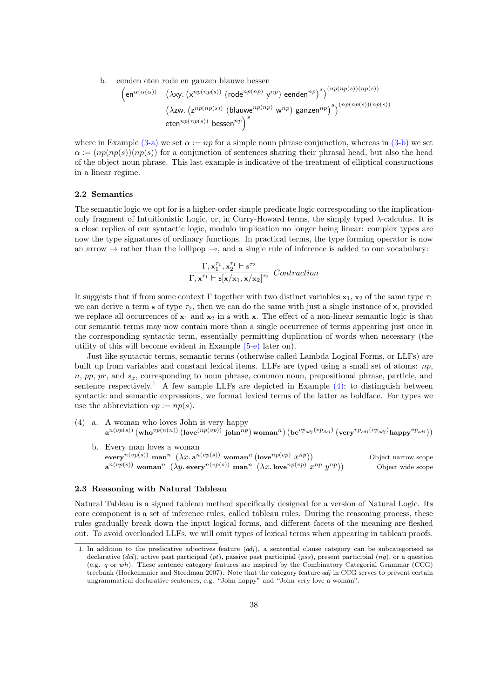<span id="page-3-2"></span>b. eenden eten rode en ganzen blauwe bessen

$$
\left(\text{en}^{\alpha(\alpha(\alpha))} \quad \left(\lambda xy. \left(x^{np(np(s))} \left(\text{rode}^{np(np)} y^{np}\right) \text{ eenden}^{np}\right)^s\right)^{(np(np(s))(np(s))}
$$
\n
$$
\left(\lambda zw. \left(z^{np(np(s))} \left(\text{blauwe}^{np(np)} w^{np}\right) \text{ ganzen}^{np}\right)^s\right)^{(np(np(s))(np(s))}
$$
\n
$$
\text{eten}^{np(np(s))} \text{ bessen}^{np}\right)^s
$$

where in Example [\(3-a\)](#page-2-1) we set  $\alpha := np$  for a simple noun phrase conjunction, whereas in [\(3-b\)](#page-3-2) we set  $\alpha := (np(np(s))(np(s))$  for a conjunction of sentences sharing their phrasal head, but also the head of the object noun phrase. This last example is indicative of the treatment of elliptical constructions in a linear regime.

#### <span id="page-3-0"></span>2.2 Semantics

The semantic logic we opt for is a higher-order simple predicate logic corresponding to the implicationonly fragment of Intuitionistic Logic, or, in Curry-Howard terms, the simply typed  $\lambda$ -calculus. It is a close replica of our syntactic logic, modulo implication no longer being linear: complex types are now the type signatures of ordinary functions. In practical terms, the type forming operator is now an arrow  $\rightarrow$  rather than the lollipop  $-\infty$ , and a single rule of inference is added to our vocabulary:

$$
\frac{\Gamma, \mathbf{x}_1^{\tau_1}, \mathbf{x}_2^{\tau_1} \vdash \mathbf{s}^{\tau_2}}{\Gamma, \mathbf{x}^{\tau_1} \vdash \mathbf{s} [\mathbf{x} / \mathbf{x}_1, \mathbf{x} / \mathbf{x}_2]^{\tau_2}} \ \ \textit{Contraction}
$$

It suggests that if from some context Γ together with two distinct variables  $x_1, x_2$  of the same type  $\tau_1$ we can derive a term s of type  $\tau_2$ , then we can do the same with just a single instance of x, provided we replace all occurrences of  $x_1$  and  $x_2$  in s with x. The effect of a non-linear semantic logic is that our semantic terms may now contain more than a single occurrence of terms appearing just once in the corresponding syntactic term, essentially permitting duplication of words when necessary (the utility of this will become evident in Example [\(5-e\)](#page-8-0) later on).

Just like syntactic terms, semantic terms (otherwise called Lambda Logical Forms, or LLFs) are built up from variables and constant lexical items. LLFs are typed using a small set of atoms:  $np$ ,  $n, pp, pr, and s<sub>x</sub>$ , corresponding to noun phrase, common noun, prepositional phrase, particle, and sentence respectively.<sup>[1](#page-3-3)</sup> A few sample LLFs are depicted in Example [\(4\);](#page-3-4) to distinguish between syntactic and semantic expressions, we format lexical terms of the latter as boldface. For types we use the abbreviation  $vp := np(s)$ .

- <span id="page-3-4"></span>(4) a. A woman who loves John is very happy  $\mathbf{a}^{n(vp(s))}\left(\textbf{who}^{vp(n(n))}\left(\textbf{love}^{(np(vp))}\ \textbf{join}^{np}\right) \textbf{woman}^{n}\right)\left(\textbf{be}^{vp_{adj}}\left(^{vp_{adj}}\ \right)\left(\textbf{very}^{vp_{adj}}\right)\textbf{happy}^{vp_{adj}}\right)\right)$ 
	- b. Every man loves a woman  $\mathrm{every}^{n(vp(s))}\ \mathrm{man}^n\ \left(\lambda x.\,\mathbf{a}^{n(vp(s))}\ \mathrm{woman}^n\, (\mathrm{love}^{np(vp)}\ x)$ Object narrow scope  $\mathbf{a}^{n(vp(s))}$  woman $^{n}$   $(\lambda y$ . every $^{n(vp(s))}$  man $^{n}$   $(\lambda x$ . love $^{np(vp)}$   $x^{np}$   $y$ Object wide scope

### <span id="page-3-1"></span>2.3 Reasoning with Natural Tableau

Natural Tableau is a signed tableau method specifically designed for a version of Natural Logic. Its core component is a set of inference rules, called tableau rules. During the reasoning process, these rules gradually break down the input logical forms, and different facets of the meaning are fleshed out. To avoid overloaded LLFs, we will omit types of lexical terms when appearing in tableau proofs.

<span id="page-3-3"></span><sup>1.</sup> In addition to the predicative adjectives feature  $(\alpha d_j)$ , a sentential clause category can be subcategorised as declarative  $(dd)$ , active past participial  $(pt)$ , passive past participial  $(ps)$ , present participial  $(ng)$ , or a question (e.g. q or wh). These sentence category features are inspired by the Combinatory Categorial Grammar (CCG) treebank (Hockenmaier and Steedman 2007). Note that the category feature adj in CCG serves to prevent certain ungrammatical declarative sentences, e.g. "John happy" and "John very love a woman".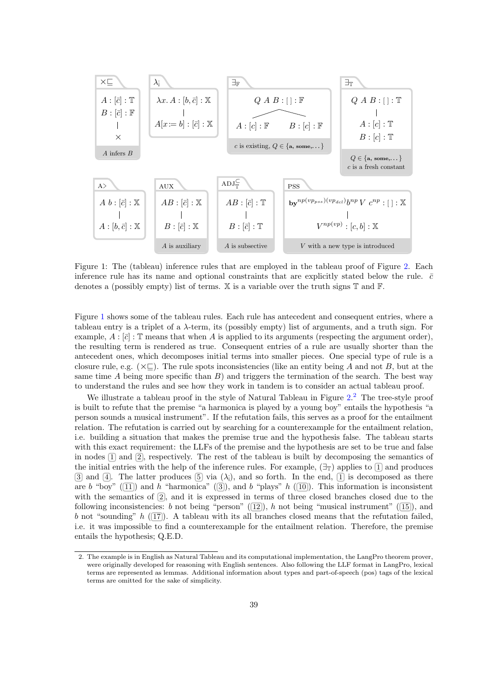<span id="page-4-0"></span>

Figure 1: The (tableau) inference rules that are employed in the tableau proof of Figure [2.](#page-5-0) Each inference rule has its name and optional constraints that are explicitly stated below the rule.  $\bar{c}$ denotes a (possibly empty) list of terms.  $X$  is a variable over the truth signs  $T$  and  $F$ .

Figure [1](#page-4-0) shows some of the tableau rules. Each rule has antecedent and consequent entries, where a tableau entry is a triplet of a λ-term, its (possibly empty) list of arguments, and a truth sign. For example,  $A : [\bar{c}] : \mathbb{T}$  means that when A is applied to its arguments (respecting the argument order), the resulting term is rendered as true. Consequent entries of a rule are usually shorter than the antecedent ones, which decomposes initial terms into smaller pieces. One special type of rule is a closure rule, e.g.  $(\times \sqsubseteq)$ . The rule spots inconsistencies (like an entity being A and not B, but at the same time A being more specific than  $B$ ) and triggers the termination of the search. The best way to understand the rules and see how they work in tandem is to consider an actual tableau proof.

We illustrate a tableau proof in the style of Natural Tableau in Figure [2.](#page-5-0)<sup>[2](#page-4-1)</sup> The tree-style proof is built to refute that the premise "a harmonica is played by a young boy" entails the hypothesis "a person sounds a musical instrument". If the refutation fails, this serves as a proof for the entailment relation. The refutation is carried out by searching for a counterexample for the entailment relation, i.e. building a situation that makes the premise true and the hypothesis false. The tableau starts with this exact requirement: the LLFs of the premise and the hypothesis are set to be true and false in nodes  $\Box$  and  $\Box$ , respectively. The rest of the tableau is built by decomposing the semantics of the initial entries with the help of the inference rules. For example,  $(\exists_{\mathbb{T}})$  applies to  $[1]$  and produces 3 and 4. The latter produces  $[5]$  via  $(\lambda_i)$ , and so forth. In the end,  $[1]$  is decomposed as there are b "boy" ( $\overline{11}$ ) and h "harmonica" ( $\overline{3}$ ), and b "plays" h ( $\overline{10}$ ). This information is inconsistent with the semantics of  $\overline{2}$ , and it is expressed in terms of three closed branches closed due to the following inconsistencies: b not being "person" ( $\overline{12}$ ), h not being "musical instrument" ( $\overline{15}$ ), and b not "sounding" h ( $\overline{17}$ ). A tableau with its all branches closed means that the refutation failed, i.e. it was impossible to find a counterexample for the entailment relation. Therefore, the premise entails the hypothesis; Q.E.D.

<span id="page-4-1"></span><sup>2.</sup> The example is in English as Natural Tableau and its computational implementation, the LangPro theorem prover, were originally developed for reasoning with English sentences. Also following the LLF format in LangPro, lexical terms are represented as lemmas. Additional information about types and part-of-speech (pos) tags of the lexical terms are omitted for the sake of simplicity.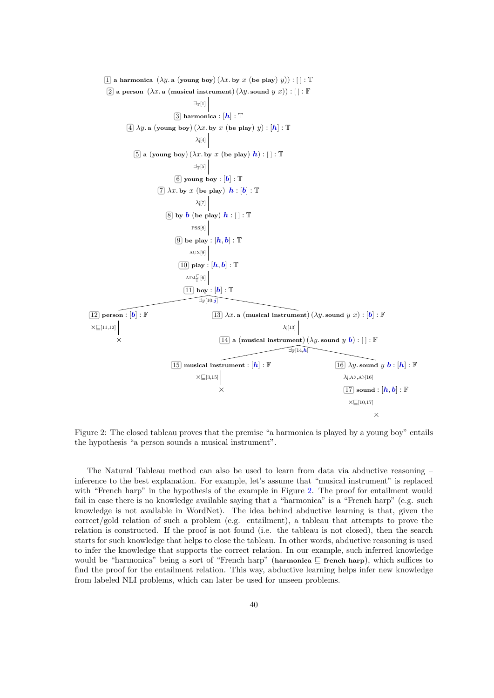<span id="page-5-0"></span> $\boxed{1}$  a harmonica  $(\lambda y. a$  (young boy)  $(\lambda x. b y x$  (be play) y)) :  $[]$  :  $T$  $[2]$  a person  $(\lambda x. a \text{ (musical instrument)} (\lambda y. sound y x)) : [] : \mathbb{F}$  $\boxed{3}$  harmonica :  $[h]$  :  $\mathbb T$  $\boxed{4}$   $\lambda y$ . a (young boy)  $(\lambda x$ . by x (be play)  $y$ ) :  $\boxed{\hbar}$  : T  $\overline{5}$  a (young boy)  $(\lambda x.$  by  $x$  (be play)  $\boldsymbol{h}$ ) :  $[]$  :  $\mathbb T$  $\overline{6}$  young boy :  $|\bm{b}|$  :  $\mathbb {T}$  $[7] \lambda x.$  by x (be play)  $h : [b] : \mathbb{T}$  $\overline{8}$  by  $\overline{b}$  (be play)  $\overline{h}$  : []:  $\mathbb T$  $\overline{9}$  be play :  $|\bm{h},\bm{b}|$  :  $\mathbb T$  $\boxed{10}$  play :  $[\bm{h}, \bm{b}]$  :  $\mathbb T$  $\boxed{11}$  boy :  $\boxed{b}$  :  $\mathbb T$  $\boxed{12}$  person :  $\boxed{\mathbf{b}}$  :  $\mathbb F$ ×  $\boxed{13}$   $\lambda x$ . a (musical instrument)  $(\lambda y$ . sound  $y$   $x)$  :  $[\mathbf{b}]$  :  $\mathbb F$  $\boxed{14}$  a (musical instrument)  $(\lambda y$ . sound  $y$   $\boldsymbol{b}$ ) : [ ] :  $\mathbb F$  $\overline{15}$  musical instrument :  $[h]:\mathbb{F}$ ×  $\overline{16}$   $\lambda y$ . sound  $y$   $\boldsymbol{b}$  :  $[\boldsymbol{h}]$  :  ${\mathbb F}$  $\overline{17}$  sound :  $[\boldsymbol{h},\boldsymbol{b}]$  :  ${\mathbb F}$ ×  $\exists$ T[1]  $\lambda$ <sub>[4]</sub>  $\exists$ <sub>T</sub>[5]  $\lambda$ <sub>i</sub>[7] pss[8]  $\rm{AUX[9]}$  $ADJ_{\mathbb{T}}^{\subset}[6]$  $\times \boxed{[11,12]}$   $\lambda$ <sub>[13]</sub>  $\times \boxed{[3,15]}$   $\lambda_{j,A}\lambda_{j,A}\lambda_{j}[16]$ ×⊑[10,17]  $\widehat{\exists_{\mathbb{F}}[10,i]}$  $\widehat{\exists_{\mathbb{F}}[14,h]}$ 

Figure 2: The closed tableau proves that the premise "a harmonica is played by a young boy" entails the hypothesis "a person sounds a musical instrument".

The Natural Tableau method can also be used to learn from data via abductive reasoning – inference to the best explanation. For example, let's assume that "musical instrument" is replaced with "French harp" in the hypothesis of the example in Figure [2.](#page-5-0) The proof for entailment would fail in case there is no knowledge available saying that a "harmonica" is a "French harp" (e.g. such knowledge is not available in WordNet). The idea behind abductive learning is that, given the correct/gold relation of such a problem (e.g. entailment), a tableau that attempts to prove the relation is constructed. If the proof is not found (i.e. the tableau is not closed), then the search starts for such knowledge that helps to close the tableau. In other words, abductive reasoning is used to infer the knowledge that supports the correct relation. In our example, such inferred knowledge would be "harmonica" being a sort of "French harp" (harmonica ⊑ french harp), which suffices to find the proof for the entailment relation. This way, abductive learning helps infer new knowledge from labeled NLI problems, which can later be used for unseen problems.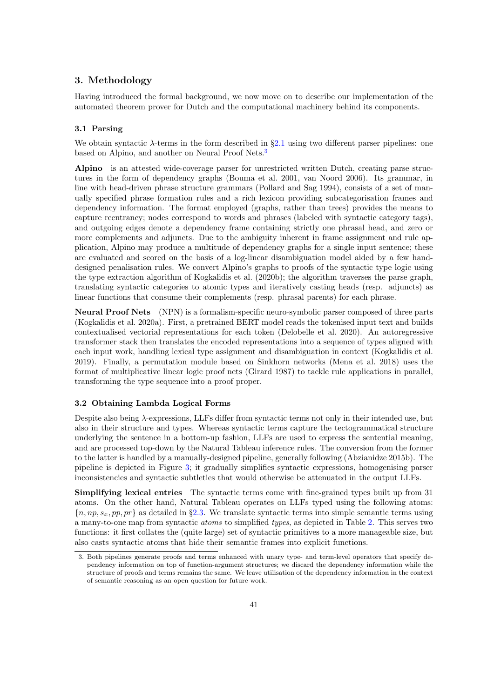# <span id="page-6-0"></span>3. Methodology

Having introduced the formal background, we now move on to describe our implementation of the automated theorem prover for Dutch and the computational machinery behind its components.

#### 3.1 Parsing

We obtain syntactic  $\lambda$ -terms in the form described in §[2.1](#page-1-1) using two different parser pipelines: one based on Alpino, and another on Neural Proof Nets.<sup>[3](#page-6-1)</sup>

Alpino is an attested wide-coverage parser for unrestricted written Dutch, creating parse structures in the form of dependency graphs (Bouma et al. 2001, van Noord 2006). Its grammar, in line with head-driven phrase structure grammars (Pollard and Sag 1994), consists of a set of manually specified phrase formation rules and a rich lexicon providing subcategorisation frames and dependency information. The format employed (graphs, rather than trees) provides the means to capture reentrancy; nodes correspond to words and phrases (labeled with syntactic category tags), and outgoing edges denote a dependency frame containing strictly one phrasal head, and zero or more complements and adjuncts. Due to the ambiguity inherent in frame assignment and rule application, Alpino may produce a multitude of dependency graphs for a single input sentence; these are evaluated and scored on the basis of a log-linear disambiguation model aided by a few handdesigned penalisation rules. We convert Alpino's graphs to proofs of the syntactic type logic using the type extraction algorithm of Kogkalidis et al. (2020b); the algorithm traverses the parse graph, translating syntactic categories to atomic types and iteratively casting heads (resp. adjuncts) as linear functions that consume their complements (resp. phrasal parents) for each phrase.

Neural Proof Nets (NPN) is a formalism-specific neuro-symbolic parser composed of three parts (Kogkalidis et al. 2020a). First, a pretrained BERT model reads the tokenised input text and builds contextualised vectorial representations for each token (Delobelle et al. 2020). An autoregressive transformer stack then translates the encoded representations into a sequence of types aligned with each input work, handling lexical type assignment and disambiguation in context (Kogkalidis et al. 2019). Finally, a permutation module based on Sinkhorn networks (Mena et al. 2018) uses the format of multiplicative linear logic proof nets (Girard 1987) to tackle rule applications in parallel, transforming the type sequence into a proof proper.

# <span id="page-6-2"></span>3.2 Obtaining Lambda Logical Forms

Despite also being  $\lambda$ -expressions, LLFs differ from syntactic terms not only in their intended use, but also in their structure and types. Whereas syntactic terms capture the tectogrammatical structure underlying the sentence in a bottom-up fashion, LLFs are used to express the sentential meaning, and are processed top-down by the Natural Tableau inference rules. The conversion from the former to the latter is handled by a manually-designed pipeline, generally following (Abzianidze 2015b). The pipeline is depicted in Figure [3;](#page-7-0) it gradually simplifies syntactic expressions, homogenising parser inconsistencies and syntactic subtleties that would otherwise be attenuated in the output LLFs.

Simplifying lexical entries The syntactic terms come with fine-grained types built up from 31 atoms. On the other hand, Natural Tableau operates on LLFs typed using the following atoms:  ${n, np, s_x, pp, pr}$  as detailed in §[2.3.](#page-3-1) We translate syntactic terms into simple semantic terms using a many-to-one map from syntactic atoms to simplified types, as depicted in Table [2.](#page-7-1) This serves two functions: it first collates the (quite large) set of syntactic primitives to a more manageable size, but also casts syntactic atoms that hide their semantic frames into explicit functions.

<span id="page-6-1"></span><sup>3.</sup> Both pipelines generate proofs and terms enhanced with unary type- and term-level operators that specify dependency information on top of function-argument structures; we discard the dependency information while the structure of proofs and terms remains the same. We leave utilisation of the dependency information in the context of semantic reasoning as an open question for future work.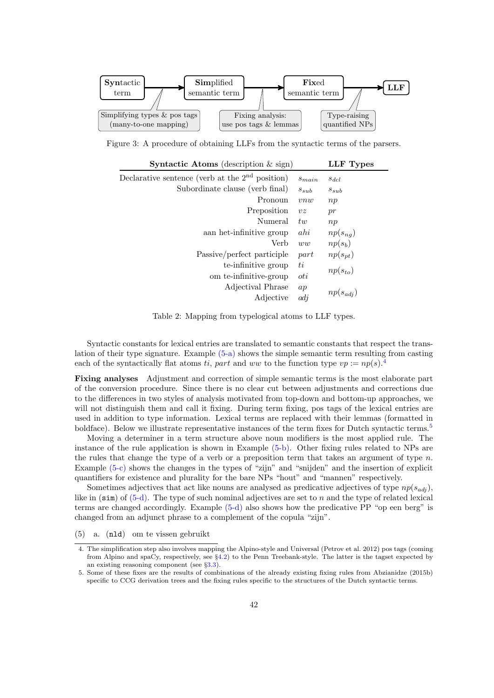<span id="page-7-0"></span>

<span id="page-7-1"></span>Figure 3: A procedure of obtaining LLFs from the syntactic terms of the parsers.

| <b>Syntactic Atoms</b> (description $\&$ sign)    |                 | LLF Types     |
|---------------------------------------------------|-----------------|---------------|
| Declarative sentence (verb at the $2nd$ position) | $s_{main}$      | $s_{dcl}$     |
| Subordinate clause (verb final)                   | $s_{sub}$       | $s_{sub}$     |
| Pronoun                                           | vnw             | np            |
| Preposition                                       | $v\overline{z}$ | pr            |
| Numeral                                           | tw              | np            |
| aan het-infinitive group                          | ahi             | $np(s_{nq})$  |
| Verb                                              | ww              | $np(s_b)$     |
| Passive/perfect participle                        | part            | $np(s_{pt})$  |
| te-infinitive group                               | ti              |               |
| om te-infinitive-group                            | oti             | $np(s_{to})$  |
| Adjectival Phrase                                 | ap              |               |
| Adjective                                         | adj             | $np(s_{adj})$ |

Table 2: Mapping from typelogical atoms to LLF types.

Syntactic constants for lexical entries are translated to semantic constants that respect the translation of their type signature. Example [\(5-a\)](#page-7-2) shows the simple semantic term resulting from casting each of the syntactically flat atoms ti, part and ww to the function type  $vp := np(s)$ .

Fixing analyses Adjustment and correction of simple semantic terms is the most elaborate part of the conversion procedure. Since there is no clear cut between adjustments and corrections due to the differences in two styles of analysis motivated from top-down and bottom-up approaches, we will not distinguish them and call it fixing. During term fixing, pos tags of the lexical entries are used in addition to type information. Lexical terms are replaced with their lemmas (formatted in boldface). Below we illustrate representative instances of the term fixes for Dutch syntactic terms.<sup>[5](#page-7-4)</sup>

Moving a determiner in a term structure above noun modifiers is the most applied rule. The instance of the rule application is shown in Example [\(5-b\).](#page-8-1) Other fixing rules related to NPs are the rules that change the type of a verb or a preposition term that takes an argument of type  $n$ . Example [\(5-c\)](#page-8-2) shows the changes in the types of "zijn" and "snijden" and the insertion of explicit quantifiers for existence and plurality for the bare NPs "hout" and "mannen" respectively.

Sometimes adjectives that act like nouns are analysed as predicative adjectives of type  $np(s_{adi})$ , like in  $(\sin)$  of  $(5-d)$ . The type of such nominal adjectives are set to n and the type of related lexical terms are changed accordingly. Example [\(5-d\)](#page-8-3) also shows how the predicative PP "op een berg" is changed from an adjunct phrase to a complement of the copula "zijn".

<span id="page-7-2"></span>(5) a. (nld) om te vissen gebruikt

<span id="page-7-3"></span><sup>4.</sup> The simplification step also involves mapping the Alpino-style and Universal (Petrov et al. 2012) pos tags (coming from Alpino and spaCy, respectively, see §[4.2\)](#page-10-1) to the Penn Treebank-style. The latter is the tagset expected by an existing reasoning component (see §[3.3\)](#page-8-4).

<span id="page-7-4"></span><sup>5.</sup> Some of these fixes are the results of combinations of the already existing fixing rules from Abzianidze (2015b) specific to CCG derivation trees and the fixing rules specific to the structures of the Dutch syntactic terms.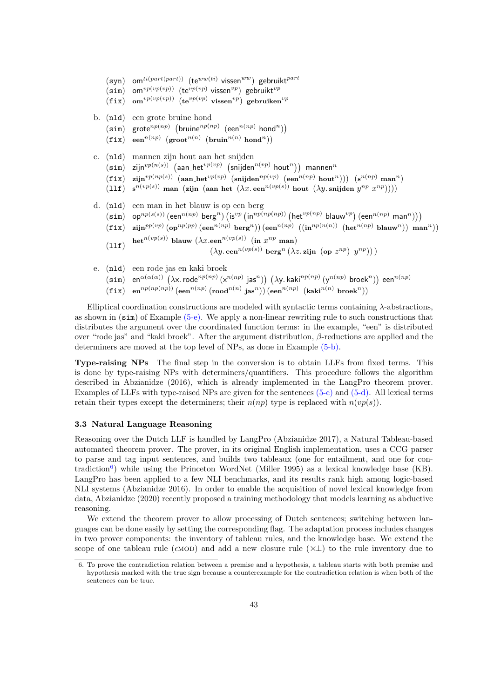<span id="page-8-2"></span><span id="page-8-1"></span>(syn) om $^{ti(part(part)}$  (te<sup>ww(ti)</sup> vissen<sup>ww</sup>) gebruikt<sup>part</sup>  $(\textsf{sim})$  om $^{vp(vp(vp))}$  (te $^{vp(vp)}$  vissen $^{vp})$  gebruikt $^{vp}$ (fix) om<sup>vp(vp(vp)</sup>) (te<sup>vp(vp)</sup> vissen<sup>vp</sup>) gebruiken<sup>vp</sup> b. (nld) een grote bruine hond  $(\text{sim})$  grote $^{np(np)}$  (bruine $^{np(np)}$  (een $^{n(np)}$  hond<sup>n</sup>))  $\left(\texttt{fix}\right) \ \ \mathsf{een}^{n(np)} \ \left(\texttt{growth}^{n(n)} \ \left(\texttt{bruin}^{n(n)} \ \texttt{hond}^{n}\right)\right)$ c. (nld) mannen zijn hout aan het snijden  $(\mathtt{sim})$  zijn $^{vp(n(s))}$   $(\mathtt{aan\_het}^{vp(vp)}$   $(\mathtt{snijden}^{n(vp)}$  hout $^{n}))$  mannen $^{n}$  $\left(\texttt{fix}\right)$  zijn $^{vp(np(s))}$   $\left(\texttt{aan\_het}^{vp(vp)} \; \left(\texttt{snijden}^{np(vp)} \; \left(\texttt{een}^{n(np)} \; \texttt{hout}^{n}\right)\right)\right)$   $\left(\texttt{s}^{n(np)} \; \texttt{man}^{n}\right)$ (11f)  $s^{n(vp(s))}$  man (zijn (aan\_het  $(\lambda x. \text{ een}^{n(vp(s))}$  hout  $(\lambda y. \text{snijden } y^{np} x^{np})))$ d. (nld) een man in het blauw is op een berg  $(\texttt{sim})$  op $^{np(s(s))}$  (een $^{n(np)}$  berg $^n)$   $(\textsf{is}^{vp}$   $(\textsf{in}^{np(np(np))}$  (het $^{vp(np)}$  blauw $^{vp})$  (een $^{n(np)}$  man $^n))$ )  $(\mathtt{fix})$  zijn $^{pp(vp)}\left(\mathsf{op}^{np(pp)}\left(\mathsf{een}^{n(np)}\;\mathsf{berg}^{n}\right)\right)\left(\mathsf{een}^{n(np)}\;\left((\mathsf{in}^{np(n(n))}\;\left(\mathsf{het}^{n(np)}\;\mathsf{blauw}^{n}\right)\right)\;\mathsf{man}^n\right)\right)$  $(11f)$  $\mathrm{het}^{n(vp(s))}$  blauw  $(\lambda x.\mathtt{een}^{n(vp(s))}$   $(\mathrm{in}~x^{np}$  man)  $(\lambda y.\, \text{een}^{n(vp(s))} \text{ berg}^n(\lambda z.\, \text{zijn} \text{ (op } z^{np}) \text{ y}^{np})))$ e. (nld) een rode jas en kaki broek

- <span id="page-8-3"></span><span id="page-8-0"></span> $(\texttt{sim})$   $\texttt{en}^{\alpha(\alpha(\alpha))}$   $\big( \lambda$ x.rode $^{np(np)}\, (\textsf{x}^{n(np)}$  jas $^{n} )\big)$   $\big( \lambda$ y.kaki $^{np(np)}\, (\textsf{y}^{n(np)}$  broek $^{n} )\big)$  een $^{n(np)}$
- $\begin{pmatrix} \texttt{fix} \end{pmatrix} \ \texttt{en}^{n(p(np))}\,(\texttt{een}^{n(np)}\;(\texttt{road}^{n(n)}\;\texttt{jas}^n))\,(\texttt{een}^{n(np)}\;\;(\texttt{kaki}^{n(n)}\;\texttt{broek}^n))$

Elliptical coordination constructions are modeled with syntactic terms containing  $\lambda$ -abstractions, as shown in (sim) of Example [\(5-e\).](#page-8-0) We apply a non-linear rewriting rule to such constructions that distributes the argument over the coordinated function terms: in the example, "een" is distributed over "rode jas" and "kaki broek". After the argument distribution,  $\beta$ -reductions are applied and the determiners are moved at the top level of NPs, as done in Example [\(5-b\).](#page-8-1)

Type-raising NPs The final step in the conversion is to obtain LLFs from fixed terms. This is done by type-raising NPs with determiners/quantifiers. This procedure follows the algorithm described in Abzianidze (2016), which is already implemented in the LangPro theorem prover. Examples of LLFs with type-raised NPs are given for the sentences [\(5-c\)](#page-8-2) and [\(5-d\).](#page-8-3) All lexical terms retain their types except the determiners; their  $n(np)$  type is replaced with  $n(vp(s))$ .

#### <span id="page-8-4"></span>3.3 Natural Language Reasoning

Reasoning over the Dutch LLF is handled by LangPro (Abzianidze 2017), a Natural Tableau-based automated theorem prover. The prover, in its original English implementation, uses a CCG parser to parse and tag input sentences, and builds two tableaux (one for entailment, and one for con-tradiction<sup>[6](#page-8-5)</sup>) while using the Princeton WordNet (Miller 1995) as a lexical knowledge base (KB). LangPro has been applied to a few NLI benchmarks, and its results rank high among logic-based NLI systems (Abzianidze 2016). In order to enable the acquisition of novel lexical knowledge from data, Abzianidze (2020) recently proposed a training methodology that models learning as abductive reasoning.

We extend the theorem prover to allow processing of Dutch sentences; switching between languages can be done easily by setting the corresponding flag. The adaptation process includes changes in two prover components: the inventory of tableau rules, and the knowledge base. We extend the scope of one tableau rule ( $\epsilon \text{MOD}$ ) and add a new closure rule ( $\times \perp$ ) to the rule inventory due to

<span id="page-8-5"></span><sup>6.</sup> To prove the contradiction relation between a premise and a hypothesis, a tableau starts with both premise and hypothesis marked with the true sign because a counterexample for the contradiction relation is when both of the sentences can be true.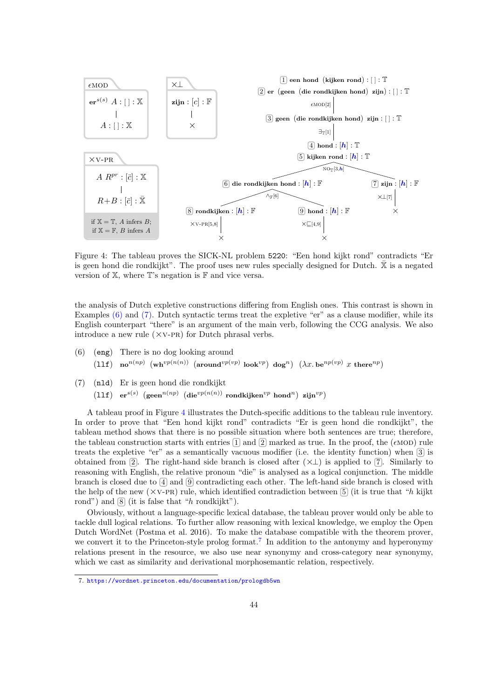<span id="page-9-2"></span>

Figure 4: The tableau proves the SICK-NL problem 5220: "Een hond kijkt rond" contradicts "Er is geen hond die rondkijkt". The proof uses new rules specially designed for Dutch. X is a negated version of X, where T's negation is F and vice versa.

the analysis of Dutch expletive constructions differing from English ones. This contrast is shown in Examples [\(6\)](#page-9-0) and [\(7\).](#page-9-1) Dutch syntactic terms treat the expletive "er" as a clause modifier, while its English counterpart "there" is an argument of the main verb, following the CCG analysis. We also introduce a new rule  $(\times \text{v-PR})$  for Dutch phrasal verbs.

- <span id="page-9-0"></span>(6) (eng) There is no dog looking around  $(11\texttt{f})$  no $^{n(np)}$   $(\texttt{wh}^{vp(n(n))}$   $(\texttt{around}^{vp(vp)}$  look $^{vp})$  dog<sup>n</sup>)  $(\lambda x.$  be $^{np(vp)}$  x there $^{np})$
- <span id="page-9-1"></span>(7) (nld) Er is geen hond die rondkijkt  $\left(11\texttt{f}\right)$  er $^{s(s)}$   $\left(\texttt{seen}^{n(np)}\;\left(\texttt{die}^{vp(n(n))}\;\texttt{rondkjken}^{vp}\; \texttt{hond}^{n}\right)$  zijn $^{vp}\right)$

A tableau proof in Figure [4](#page-9-2) illustrates the Dutch-specific additions to the tableau rule inventory. In order to prove that "Een hond kijkt rond" contradicts "Er is geen hond die rondkijkt", the tableau method shows that there is no possible situation where both sentences are true; therefore, the tableau construction starts with entries  $\boxed{1}$  and  $\boxed{2}$  marked as true. In the proof, the ( $\epsilon$ MOD) rule treats the expletive "er" as a semantically vacuous modifier (i.e. the identity function) when  $\boxed{3}$  is obtained from 2. The right-hand side branch is closed after  $(\times \bot)$  is applied to 7. Similarly to reasoning with English, the relative pronoun "die" is analysed as a logical conjunction. The middle branch is closed due to  $\boxed{4}$  and  $\boxed{9}$  contradicting each other. The left-hand side branch is closed with the help of the new  $(\times \text{v-PR})$  rule, which identified contradiction between [5] (it is true that "h kijkt") rond") and  $[8]$  (it is false that "h rondkijkt").

Obviously, without a language-specific lexical database, the tableau prover would only be able to tackle dull logical relations. To further allow reasoning with lexical knowledge, we employ the Open Dutch WordNet (Postma et al. 2016). To make the database compatible with the theorem prover, we convert it to the Princeton-style prolog format.<sup>[7](#page-9-3)</sup> In addition to the antonymy and hyperonymy relations present in the resource, we also use near synonymy and cross-category near synonymy, which we cast as similarity and derivational morphosemantic relation, respectively.

<span id="page-9-3"></span><sup>7.</sup> <https://wordnet.princeton.edu/documentation/prologdb5wn>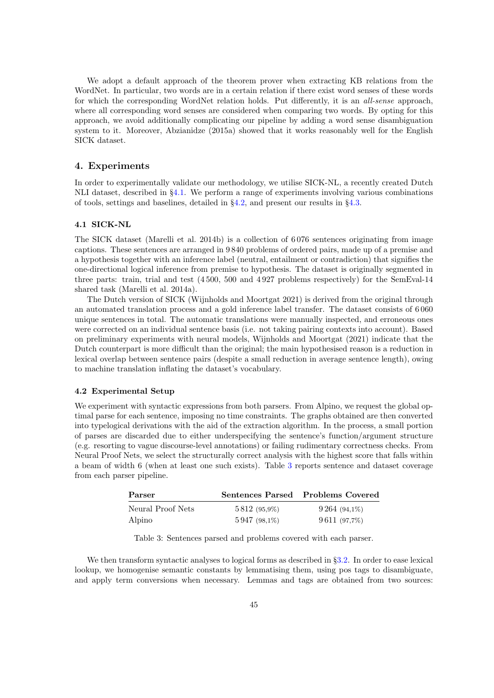We adopt a default approach of the theorem prover when extracting KB relations from the WordNet. In particular, two words are in a certain relation if there exist word senses of these words for which the corresponding WordNet relation holds. Put differently, it is an all-sense approach, where all corresponding word senses are considered when comparing two words. By opting for this approach, we avoid additionally complicating our pipeline by adding a word sense disambiguation system to it. Moreover, Abzianidze (2015a) showed that it works reasonably well for the English SICK dataset.

## <span id="page-10-0"></span>4. Experiments

In order to experimentally validate our methodology, we utilise SICK-NL, a recently created Dutch NLI dataset, described in §[4.1.](#page-10-2) We perform a range of experiments involving various combinations of tools, settings and baselines, detailed in §[4.2,](#page-10-1) and present our results in §[4.3.](#page-11-0)

#### <span id="page-10-2"></span>4.1 SICK-NL

The SICK dataset (Marelli et al. 2014b) is a collection of 6 076 sentences originating from image captions. These sentences are arranged in 9 840 problems of ordered pairs, made up of a premise and a hypothesis together with an inference label (neutral, entailment or contradiction) that signifies the one-directional logical inference from premise to hypothesis. The dataset is originally segmented in three parts: train, trial and test (4 500, 500 and 4 927 problems respectively) for the SemEval-14 shared task (Marelli et al. 2014a).

The Dutch version of SICK (Wijnholds and Moortgat 2021) is derived from the original through an automated translation process and a gold inference label transfer. The dataset consists of 6 060 unique sentences in total. The automatic translations were manually inspected, and erroneous ones were corrected on an individual sentence basis (i.e. not taking pairing contexts into account). Based on preliminary experiments with neural models, Wijnholds and Moortgat (2021) indicate that the Dutch counterpart is more difficult than the original; the main hypothesised reason is a reduction in lexical overlap between sentence pairs (despite a small reduction in average sentence length), owing to machine translation inflating the dataset's vocabulary.

#### <span id="page-10-1"></span>4.2 Experimental Setup

We experiment with syntactic expressions from both parsers. From Alpino, we request the global optimal parse for each sentence, imposing no time constraints. The graphs obtained are then converted into typelogical derivations with the aid of the extraction algorithm. In the process, a small portion of parses are discarded due to either underspecifying the sentence's function/argument structure (e.g. resorting to vague discourse-level annotations) or failing rudimentary correctness checks. From Neural Proof Nets, we select the structurally correct analysis with the highest score that falls within a beam of width 6 (when at least one such exists). Table [3](#page-10-3) reports sentence and dataset coverage from each parser pipeline.

<span id="page-10-3"></span>

| Parser            |                    | Sentences Parsed Problems Covered |
|-------------------|--------------------|-----------------------------------|
| Neural Proof Nets | 5 8 12 (95,9%)     | $9\,264\; (94,1\%)$               |
| Alpino            | $5\,947\ (98,1\%)$ | 9611 (97,7%)                      |

Table 3: Sentences parsed and problems covered with each parser.

We then transform syntactic analyses to logical forms as described in §[3.2.](#page-6-2) In order to ease lexical lookup, we homogenise semantic constants by lemmatising them, using pos tags to disambiguate, and apply term conversions when necessary. Lemmas and tags are obtained from two sources: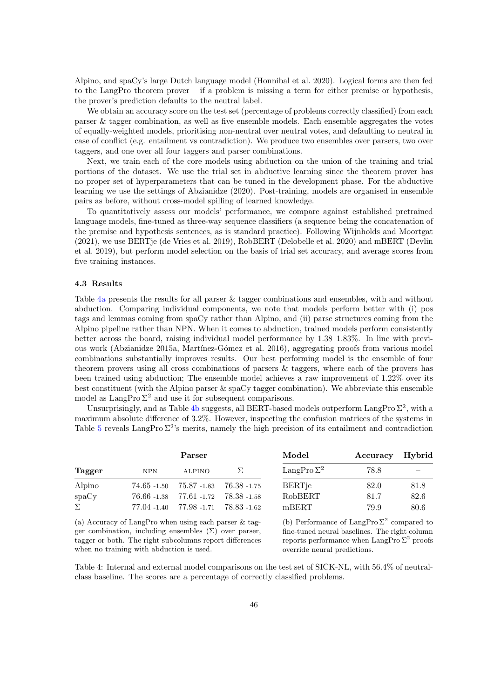Alpino, and spaCy's large Dutch language model (Honnibal et al. 2020). Logical forms are then fed to the LangPro theorem prover – if a problem is missing a term for either premise or hypothesis, the prover's prediction defaults to the neutral label.

We obtain an accuracy score on the test set (percentage of problems correctly classified) from each parser & tagger combination, as well as five ensemble models. Each ensemble aggregates the votes of equally-weighted models, prioritising non-neutral over neutral votes, and defaulting to neutral in case of conflict (e.g. entailment vs contradiction). We produce two ensembles over parsers, two over taggers, and one over all four taggers and parser combinations.

Next, we train each of the core models using abduction on the union of the training and trial portions of the dataset. We use the trial set in abductive learning since the theorem prover has no proper set of hyperparameters that can be tuned in the development phase. For the abductive learning we use the settings of Abzianidze (2020). Post-training, models are organised in ensemble pairs as before, without cross-model spilling of learned knowledge.

To quantitatively assess our models' performance, we compare against established pretrained language models, fine-tuned as three-way sequence classifiers (a sequence being the concatenation of the premise and hypothesis sentences, as is standard practice). Following Wijnholds and Moortgat (2021), we use BERTje (de Vries et al. 2019), RobBERT (Delobelle et al. 2020) and mBERT (Devlin et al. 2019), but perform model selection on the basis of trial set accuracy, and average scores from five training instances.

#### <span id="page-11-0"></span>4.3 Results

Table [4a](#page-11-1) presents the results for all parser & tagger combinations and ensembles, with and without abduction. Comparing individual components, we note that models perform better with (i) pos tags and lemmas coming from spaCy rather than Alpino, and (ii) parse structures coming from the Alpino pipeline rather than NPN. When it comes to abduction, trained models perform consistently better across the board, raising individual model performance by 1.38–1.83%. In line with previous work (Abzianidze 2015a, Mart´ınez-G´omez et al. 2016), aggregating proofs from various model combinations substantially improves results. Our best performing model is the ensemble of four theorem provers using all cross combinations of parsers & taggers, where each of the provers has been trained using abduction; The ensemble model achieves a raw improvement of 1.22% over its best constituent (with the Alpino parser & spaCy tagger combination). We abbreviate this ensemble model as  $\text{LangPro}\,\Sigma^2$  and use it for subsequent comparisons.

Unsurprisingly, and as Table [4b](#page-11-1) suggests, all BERT-based models outperform LangPro  $\Sigma^2$ , with a maximum absolute difference of 3.2%. However, inspecting the confusion matrices of the systems in Table [5](#page-12-0) reveals LangPro  $\Sigma^2$ 's merits, namely the high precision of its entailment and contradiction

<span id="page-11-1"></span>

|            | Parser        |          | Model                                                                                                                      | Accuracy Hybrid |      |  |
|------------|---------------|----------|----------------------------------------------------------------------------------------------------------------------------|-----------------|------|--|
| <b>NPN</b> | <b>ALPINO</b> | $\Sigma$ | LangPro $\Sigma^2$                                                                                                         | 78.8            |      |  |
|            |               |          | <b>BERTie</b>                                                                                                              | 82.0            | 81.8 |  |
|            |               |          | RobBERT                                                                                                                    | 81.7            | 82.6 |  |
|            |               |          | mBERT                                                                                                                      | 79.9            | 80.6 |  |
|            |               |          | $74.65 - 1.50$ $75.87 - 1.83$ $76.38 - 1.75$<br>76.66 -1.38 77.61 -1.72 78.38 -1.58<br>77.04 -1.40 77.98 -1.71 78.83 -1.62 |                 |      |  |

(a) Accuracy of LangPro when using each parser & tagger combination, including ensembles  $(\Sigma)$  over parser, tagger or both. The right subcolumns report differences when no training with abduction is used.

(b) Performance of LangPro $\Sigma^2$  compared to fine-tuned neural baselines. The right column reports performance when LangPro  $\Sigma^2$  proofs override neural predictions.

Table 4: Internal and external model comparisons on the test set of SICK-NL, with 56.4% of neutralclass baseline. The scores are a percentage of correctly classified problems.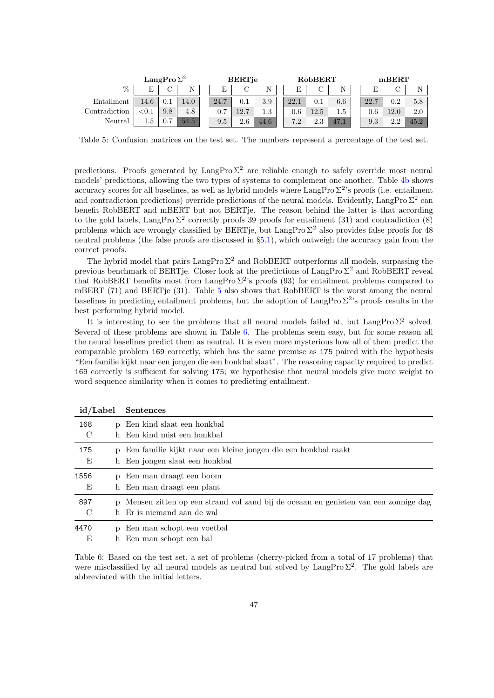<span id="page-12-0"></span>

|               | LangPro $\Sigma^2$ |     |      |  |      | <b>BERT</b> je |         | RobBERT |      |         |         | mBERT   |      |      |  |
|---------------|--------------------|-----|------|--|------|----------------|---------|---------|------|---------|---------|---------|------|------|--|
| $\%$          | Е                  |     |      |  |      |                | N       |         |      |         |         | E       |      | N    |  |
| Entailment    | 14.6               | 0.1 | 14.0 |  | 24.7 | $\rm 0.1$      | 3.9     |         | 22.1 | $0.1\,$ | $6.6\,$ | 22.7    | 0.2  | 5.8  |  |
| Contradiction | ${<}0.1$           | 9.8 | 4.8  |  | 0.7  | 12.7           | $1.3\,$ |         | 0.6  | 12.5    | 1.5     | $0.6\,$ | 12.0 | 2.0  |  |
| Neutral       |                    |     | 54.5 |  | 9.5  | 2.6            | 44.6    |         | 7.2  | 2.3     | $-47.1$ | 9.3     | 2.2  | 45.2 |  |

Table 5: Confusion matrices on the test set. The numbers represent a percentage of the test set.

predictions. Proofs generated by LangPro  $\Sigma^2$  are reliable enough to safely override most neural models' predictions, allowing the two types of systems to complement one another. Table [4b](#page-11-1) shows accuracy scores for all baselines, as well as hybrid models where  $\text{LangPro } \Sigma^2$ 's proofs (i.e. entailment and contradiction predictions) override predictions of the neural models. Evidently, LangPro  $\Sigma^2$  can benefit RobBERT and mBERT but not BERTje. The reason behind the latter is that according to the gold labels, LangPro  $\Sigma^2$  correctly proofs 39 proofs for entailment (31) and contradiction (8) problems which are wrongly classified by BERTje, but LangPro  $\Sigma^2$  also provides false proofs for 48 neutral problems (the false proofs are discussed in §[5.1\)](#page-13-1), which outweigh the accuracy gain from the correct proofs.

The hybrid model that pairs  $\text{LangPro }\Sigma^2$  and RobBERT outperforms all models, surpassing the previous benchmark of BERTje. Closer look at the predictions of LangPro  $\Sigma^2$  and RobBERT reveal that RobBERT benefits most from LangPro  $\Sigma^2$ 's proofs (93) for entailment problems compared to mBERT  $(71)$  and BERT ie  $(31)$ . Table [5](#page-12-0) also shows that RobBERT is the worst among the neural baselines in predicting entailment problems, but the adoption of LangPro  $\Sigma^2$ 's proofs results in the best performing hybrid model.

It is interesting to see the problems that all neural models failed at, but LangPro  $\Sigma^2$  solved. Several of these problems are shown in Table [6.](#page-12-1) The problems seem easy, but for some reason all the neural baselines predict them as neutral. It is even more mysterious how all of them predict the comparable problem 169 correctly, which has the same premise as 175 paired with the hypothesis "Een familie kijkt naar een jongen die een honkbal slaat". The reasoning capacity required to predict 169 correctly is sufficient for solving 175; we hypothesise that neural models give more weight to word sequence similarity when it comes to predicting entailment.

<span id="page-12-1"></span>

| id/Label  |              | <b>Sentences</b>                                                                                                 |  |  |  |  |  |  |  |
|-----------|--------------|------------------------------------------------------------------------------------------------------------------|--|--|--|--|--|--|--|
| 168<br>C  |              | p Een kind slaat een honkbal<br>h Een kind mist een honkbal                                                      |  |  |  |  |  |  |  |
| 175<br>E  | $\mathbf{D}$ | Een familie kijkt naar een kleine jongen die een honkbal raakt<br>h Een jongen slaat een honkbal                 |  |  |  |  |  |  |  |
| 1556<br>Ε | $\mathbf{D}$ | Een man draagt een boom<br>h Een man draagt een plant                                                            |  |  |  |  |  |  |  |
| 897<br>C  | D            | Mensen zitten op een strand vol zand bij de oceaan en genieten van een zonnige dag<br>h Er is niemand aan de wal |  |  |  |  |  |  |  |
| 4470<br>E | D            | Een man schopt een voetbal<br>h Een man schopt een bal                                                           |  |  |  |  |  |  |  |

Table 6: Based on the test set, a set of problems (cherry-picked from a total of 17 problems) that were misclassified by all neural models as neutral but solved by LangPro  $\Sigma^2$ . The gold labels are abbreviated with the initial letters.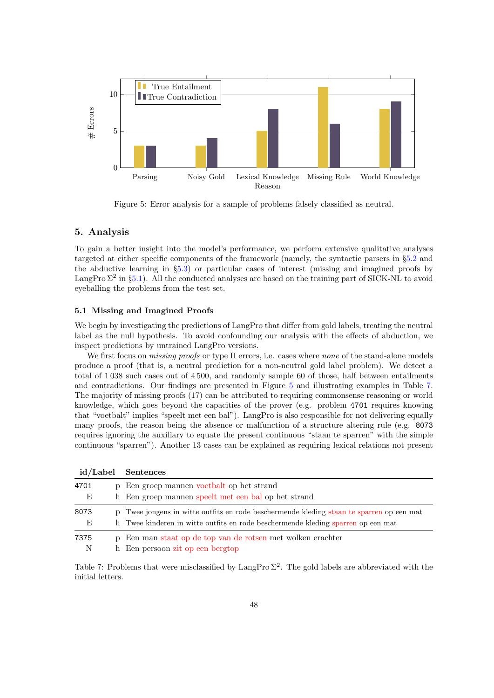<span id="page-13-2"></span>

Figure 5: Error analysis for a sample of problems falsely classified as neutral.

# <span id="page-13-0"></span>5. Analysis

To gain a better insight into the model's performance, we perform extensive qualitative analyses targeted at either specific components of the framework (namely, the syntactic parsers in §[5.2](#page-15-0) and the abductive learning in §[5.3\)](#page-16-0) or particular cases of interest (missing and imagined proofs by LangPro  $\Sigma^2$  in §[5.1\)](#page-13-1). All the conducted analyses are based on the training part of SICK-NL to avoid eyeballing the problems from the test set.

#### <span id="page-13-1"></span>5.1 Missing and Imagined Proofs

We begin by investigating the predictions of LangPro that differ from gold labels, treating the neutral label as the null hypothesis. To avoid confounding our analysis with the effects of abduction, we inspect predictions by untrained LangPro versions.

We first focus on *missing proofs* or type II errors, i.e. cases where *none* of the stand-alone models produce a proof (that is, a neutral prediction for a non-neutral gold label problem). We detect a total of 1 038 such cases out of 4 500, and randomly sample 60 of those, half between entailments and contradictions. Our findings are presented in Figure [5](#page-13-2) and illustrating examples in Table [7.](#page-13-3) The majority of missing proofs (17) can be attributed to requiring commonsense reasoning or world knowledge, which goes beyond the capacities of the prover (e.g. problem 4701 requires knowing that "voetbalt" implies "speelt met een bal"). LangPro is also responsible for not delivering equally many proofs, the reason being the absence or malfunction of a structure altering rule (e.g. 8073 requires ignoring the auxiliary to equate the present continuous "staan te sparren" with the simple continuous "sparren"). Another 13 cases can be explained as requiring lexical relations not present

<span id="page-13-3"></span>

| id/Label |  | <b>Sentences</b>                                                                         |  |  |  |  |  |  |
|----------|--|------------------------------------------------------------------------------------------|--|--|--|--|--|--|
| 4701     |  | p Een groep mannen voetbalt op het strand                                                |  |  |  |  |  |  |
| Е        |  | h Een groep mannen speelt met een bal op het strand                                      |  |  |  |  |  |  |
| 8073     |  | p Twee jongens in witte outfits en rode beschermende kleding staan te sparren op een mat |  |  |  |  |  |  |
| Ε        |  | h Twee kinderen in witte outfits en rode beschermende kleding sparren op een mat         |  |  |  |  |  |  |
| 7375     |  | p Een man staat op de top van de rotsen met wolken erachter                              |  |  |  |  |  |  |
| N        |  | h Een persoon zit op een bergtop                                                         |  |  |  |  |  |  |

Table 7: Problems that were misclassified by LangPro  $\Sigma^2$ . The gold labels are abbreviated with the initial letters.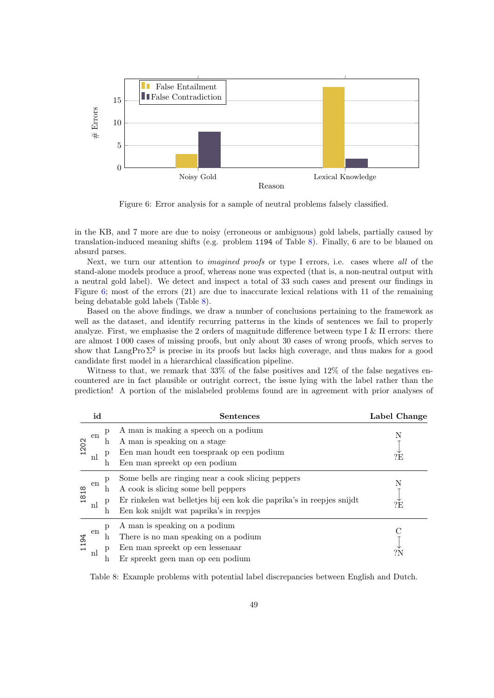<span id="page-14-1"></span>

Figure 6: Error analysis for a sample of neutral problems falsely classified.

in the KB, and 7 more are due to noisy (erroneous or ambiguous) gold labels, partially caused by translation-induced meaning shifts (e.g. problem 1194 of Table [8\)](#page-14-0). Finally, 6 are to be blamed on absurd parses.

Next, we turn our attention to *imagined proofs* or type I errors, i.e. cases where all of the stand-alone models produce a proof, whereas none was expected (that is, a non-neutral output with a neutral gold label). We detect and inspect a total of 33 such cases and present our findings in Figure [6;](#page-14-1) most of the errors (21) are due to inaccurate lexical relations with 11 of the remaining being debatable gold labels (Table [8\)](#page-14-0).

Based on the above findings, we draw a number of conclusions pertaining to the framework as well as the dataset, and identify recurring patterns in the kinds of sentences we fail to properly analyze. First, we emphasise the 2 orders of magnitude difference between type I  $\&$  II errors: there are almost 1 000 cases of missing proofs, but only about 30 cases of wrong proofs, which serves to show that LangPro  $\Sigma^2$  is precise in its proofs but lacks high coverage, and thus makes for a good candidate first model in a hierarchical classification pipeline.

Witness to that, we remark that 33% of the false positives and 12% of the false negatives encountered are in fact plausible or outright correct, the issue lying with the label rather than the prediction! A portion of the mislabeled problems found are in agreement with prior analyses of

<span id="page-14-0"></span>

|      | id |        | Sentences                                                                                                        | Label Change |
|------|----|--------|------------------------------------------------------------------------------------------------------------------|--------------|
|      | en | p<br>h | A man is making a speech on a podium<br>A man is speaking on a stage                                             | N            |
| 1202 | nl | p<br>h | Een man houdt een toespraak op een podium<br>Een man spreekt op een podium                                       | ?E           |
| 1818 | en | p<br>h | Some bells are ringing near a cook slicing peppers<br>A cook is slicing some bell peppers                        | N            |
|      | nl | p<br>h | Er rinkelen wat belletjes bij een kok die paprika's in reepjes snijdt<br>Een kok snijdt wat paprika's in reepjes | ?E           |
| 1194 | en | p<br>h | A man is speaking on a podium<br>There is no man speaking on a podium                                            |              |
|      | nl | р<br>n | Een man spreekt op een lessenaar<br>Er spreekt geen man op een podium                                            | ?N           |

Table 8: Example problems with potential label discrepancies between English and Dutch.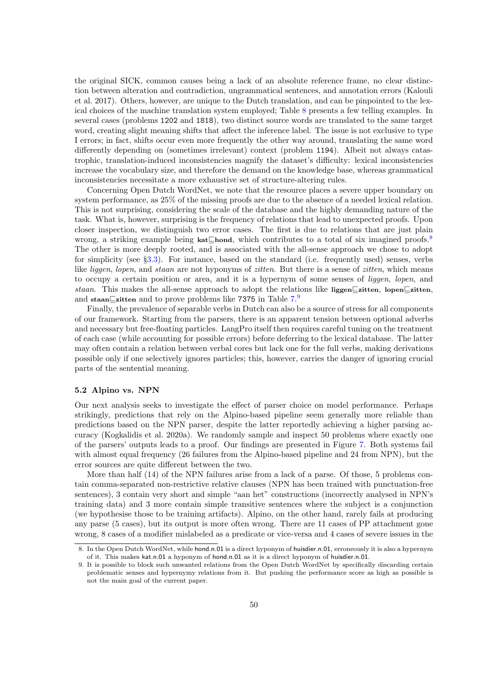the original SICK, common causes being a lack of an absolute reference frame, no clear distinction between alteration and contradiction, ungrammatical sentences, and annotation errors (Kalouli et al. 2017). Others, however, are unique to the Dutch translation, and can be pinpointed to the lexical choices of the machine translation system employed; Table [8](#page-14-0) presents a few telling examples. In several cases (problems 1202 and 1818), two distinct source words are translated to the same target word, creating slight meaning shifts that affect the inference label. The issue is not exclusive to type I errors; in fact, shifts occur even more frequently the other way around, translating the same word differently depending on (sometimes irrelevant) context (problem 1194). Albeit not always catastrophic, translation-induced inconsistencies magnify the dataset's difficulty: lexical inconsistencies increase the vocabulary size, and therefore the demand on the knowledge base, whereas grammatical inconsistencies necessitate a more exhaustive set of structure-altering rules.

Concerning Open Dutch WordNet, we note that the resource places a severe upper boundary on system performance, as 25% of the missing proofs are due to the absence of a needed lexical relation. This is not surprising, considering the scale of the database and the highly demanding nature of the task. What is, however, surprising is the frequency of relations that lead to unexpected proofs. Upon closer inspection, we distinguish two error cases. The first is due to relations that are just plain wrong, a striking example being kat⊑hond, which contributes to a total of six imagined proofs.[8](#page-15-1) The other is more deeply rooted, and is associated with the all-sense approach we chose to adopt for simplicity (see §[3.3\)](#page-8-4). For instance, based on the standard (i.e. frequently used) senses, verbs like *liggen*, *lopen*, and *staan* are not hyponyms of zitten. But there is a sense of zitten, which means to occupy a certain position or area, and it is a hypernym of some senses of liggen, lopen, and staan. This makes the all-sense approach to adopt the relations like liggen⊑zitten, lopen⊑zitten, and staan⊑zitten and to prove problems like 7375 in Table  $7.9$  $7.9$ 

Finally, the prevalence of separable verbs in Dutch can also be a source of stress for all components of our framework. Starting from the parsers, there is an apparent tension between optional adverbs and necessary but free-floating particles. LangPro itself then requires careful tuning on the treatment of each case (while accounting for possible errors) before deferring to the lexical database. The latter may often contain a relation between verbal cores but lack one for the full verbs, making derivations possible only if one selectively ignores particles; this, however, carries the danger of ignoring crucial parts of the sentential meaning.

#### <span id="page-15-0"></span>5.2 Alpino vs. NPN

Our next analysis seeks to investigate the effect of parser choice on model performance. Perhaps strikingly, predictions that rely on the Alpino-based pipeline seem generally more reliable than predictions based on the NPN parser, despite the latter reportedly achieving a higher parsing accuracy (Kogkalidis et al. 2020a). We randomly sample and inspect 50 problems where exactly one of the parsers' outputs leads to a proof. Our findings are presented in Figure [7.](#page-16-1) Both systems fail with almost equal frequency (26 failures from the Alpino-based pipeline and 24 from NPN), but the error sources are quite different between the two.

More than half (14) of the NPN failures arise from a lack of a parse. Of those, 5 problems contain comma-separated non-restrictive relative clauses (NPN has been trained with punctuation-free sentences), 3 contain very short and simple "aan het" constructions (incorrectly analysed in NPN's training data) and 3 more contain simple transitive sentences where the subject is a conjunction (we hypothesise those to be training artifacts). Alpino, on the other hand, rarely fails at producing any parse (5 cases), but its output is more often wrong. There are 11 cases of PP attachment gone wrong, 8 cases of a modifier mislabeled as a predicate or vice-versa and 4 cases of severe issues in the

<span id="page-15-1"></span><sup>8.</sup> In the Open Dutch WordNet, while hond.n.01 is a direct hyponym of huisdier.n.01, erroneously it is also a hypernym of it. This makes kat.n.01 a hyponym of hond.n.01 as it is a direct hyponym of huisdier.n.01.

<span id="page-15-2"></span><sup>9.</sup> It is possible to block such unwanted relations from the Open Dutch WordNet by specifically discarding certain problematic senses and hypernymy relations from it. But pushing the performance score as high as possible is not the main goal of the current paper.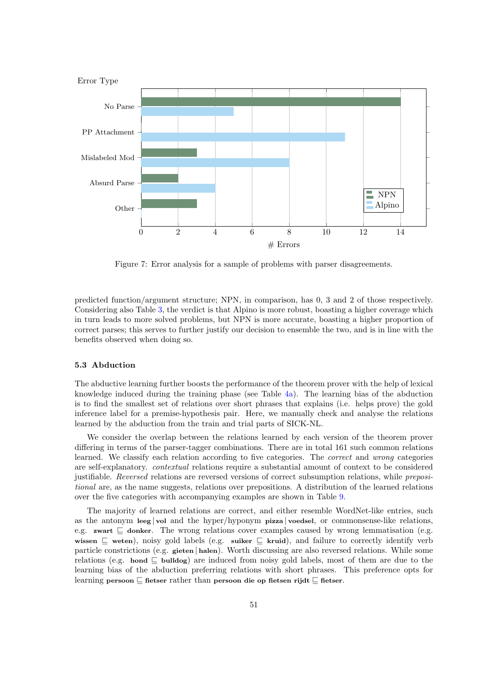<span id="page-16-1"></span>

Figure 7: Error analysis for a sample of problems with parser disagreements.

predicted function/argument structure; NPN, in comparison, has 0, 3 and 2 of those respectively. Considering also Table [3,](#page-10-3) the verdict is that Alpino is more robust, boasting a higher coverage which in turn leads to more solved problems, but NPN is more accurate, boasting a higher proportion of correct parses; this serves to further justify our decision to ensemble the two, and is in line with the benefits observed when doing so.

#### <span id="page-16-0"></span>5.3 Abduction

The abductive learning further boosts the performance of the theorem prover with the help of lexical knowledge induced during the training phase (see Table [4a\)](#page-11-1). The learning bias of the abduction is to find the smallest set of relations over short phrases that explains (i.e. helps prove) the gold inference label for a premise-hypothesis pair. Here, we manually check and analyse the relations learned by the abduction from the train and trial parts of SICK-NL.

We consider the overlap between the relations learned by each version of the theorem prover differing in terms of the parser-tagger combinations. There are in total 161 such common relations learned. We classify each relation according to five categories. The correct and wrong categories are self-explanatory. contextual relations require a substantial amount of context to be considered justifiable. Reversed relations are reversed versions of correct subsumption relations, while prepositional are, as the name suggests, relations over prepositions. A distribution of the learned relations over the five categories with accompanying examples are shown in Table [9.](#page-17-1)

The majority of learned relations are correct, and either resemble WordNet-like entries, such as the antonym leeg | vol and the hyper/hyponym pizza | voedsel, or commonsense-like relations, e.g. zwart ⊑ donker. The wrong relations cover examples caused by wrong lemmatisation (e.g. wissen ⊑ weten), noisy gold labels (e.g. suiker ⊑ kruid), and failure to correctly identify verb particle constrictions (e.g. gieten | halen). Worth discussing are also reversed relations. While some relations (e.g. hond ⊑ bulldog) are induced from noisy gold labels, most of them are due to the learning bias of the abduction preferring relations with short phrases. This preference opts for learning persoon ⊑ fietser rather than persoon die op fietsen rijdt ⊑ fietser.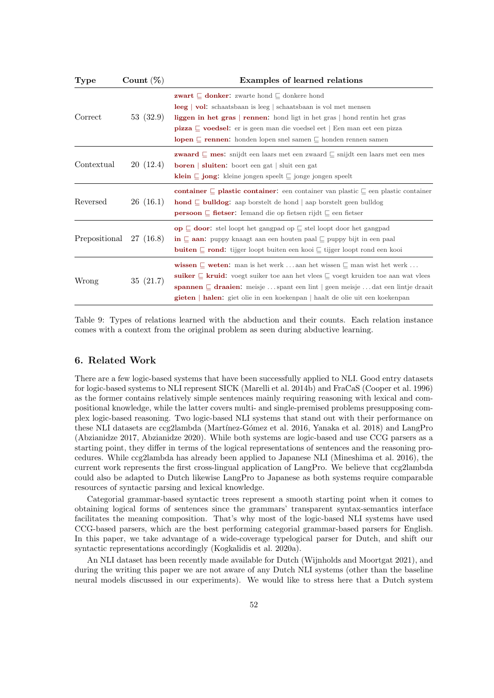<span id="page-17-1"></span>

| <b>Type</b>   | Count $(\%)$ | Examples of learned relations                                                                                                                                                                                                                                                                                                                                                                                                                    |
|---------------|--------------|--------------------------------------------------------------------------------------------------------------------------------------------------------------------------------------------------------------------------------------------------------------------------------------------------------------------------------------------------------------------------------------------------------------------------------------------------|
| Correct       | 53 (32.9)    | <b>zwart</b> $\subseteq$ <b>donker:</b> zwarte hond $\subseteq$ donkere hond<br><b>leeg</b>   <b>vol</b> : schaatsbaan is leeg   schaatsbaan is vol met mensen<br>liggen in het gras   rennen: hond ligt in het gras   hond rentin het gras<br><b>pizza</b> $\Box$ <b>voedsel:</b> er is geen man die voedsel eet   Een man eet een pizza<br><b>lopen</b> $\sqsubseteq$ <b>rennen:</b> honden lopen snel samen $\sqsubseteq$ honden rennen samen |
| Contextual    | 20(12.4)     | <b>zwaard</b> $\subseteq$ <b>mes:</b> snijdt een laars met een zwaard $\subseteq$ snijdt een laars met een mes<br><b>boren</b>   <b>sluiten</b> : boort een gat   sluit een gat<br><b>klein</b> $\subseteq$ <b>jong:</b> kleine jongen speelt $\subseteq$ jonge jongen speelt                                                                                                                                                                    |
| Reversed      | 26(16.1)     | container $\sqsubseteq$ plastic container: een container van plastic $\sqsubseteq$ een plastic container<br><b>hond</b> $\subseteq$ <b>bulldog:</b> aap borstelt de hond   aap borstelt geen bulldog<br><b>persoon</b> $\subseteq$ <b>fietser</b> : Iemand die op fietsen rijdt $\subseteq$ een fietser                                                                                                                                          |
| Prepositional | 27 (16.8)    | <b>op</b> $\sqsubseteq$ <b>door:</b> stel loopt het gangpad op $\sqsubseteq$ stel loopt door het gangpad<br><b>in</b> $\subseteq$ <b>aan:</b> puppy knaagt aan een houten paal $\subseteq$ puppy bijt in een paal<br><b>buiten</b> $\sqsubseteq$ <b>rond:</b> tijger loopt buiten een kooi $\sqsubseteq$ tijger loopt rond een kooi                                                                                                              |
| Wrong         | 35 (21.7)    | <b>wissen</b> $\Box$ <b>weten:</b> man is het werk  aan het wissen $\Box$ man wist het werk<br><b>suiker</b> $\subseteq$ <b>kruid:</b> voegt suiker toe aan het vlees $\subseteq$ voegt kruiden toe aan wat vlees<br><b>spannen</b> $\sqsubseteq$ <b>draaien:</b> meisje  spant een lint   geen meisje  dat een lintje draait<br><b>gieten</b> halen: giet olie in een koekenpan haalt de olie uit een koekenpan                                 |

Table 9: Types of relations learned with the abduction and their counts. Each relation instance comes with a context from the original problem as seen during abductive learning.

# <span id="page-17-0"></span>6. Related Work

There are a few logic-based systems that have been successfully applied to NLI. Good entry datasets for logic-based systems to NLI represent SICK (Marelli et al. 2014b) and FraCaS (Cooper et al. 1996) as the former contains relatively simple sentences mainly requiring reasoning with lexical and compositional knowledge, while the latter covers multi- and single-premised problems presupposing complex logic-based reasoning. Two logic-based NLI systems that stand out with their performance on these NLI datasets are ccg2lambda (Martínez-Gómez et al. 2016, Yanaka et al. 2018) and LangPro (Abzianidze 2017, Abzianidze 2020). While both systems are logic-based and use CCG parsers as a starting point, they differ in terms of the logical representations of sentences and the reasoning procedures. While ccg2lambda has already been applied to Japanese NLI (Mineshima et al. 2016), the current work represents the first cross-lingual application of LangPro. We believe that ccg2lambda could also be adapted to Dutch likewise LangPro to Japanese as both systems require comparable resources of syntactic parsing and lexical knowledge.

Categorial grammar-based syntactic trees represent a smooth starting point when it comes to obtaining logical forms of sentences since the grammars' transparent syntax-semantics interface facilitates the meaning composition. That's why most of the logic-based NLI systems have used CCG-based parsers, which are the best performing categorial grammar-based parsers for English. In this paper, we take advantage of a wide-coverage typelogical parser for Dutch, and shift our syntactic representations accordingly (Kogkalidis et al. 2020a).

An NLI dataset has been recently made available for Dutch (Wijnholds and Moortgat 2021), and during the writing this paper we are not aware of any Dutch NLI systems (other than the baseline neural models discussed in our experiments). We would like to stress here that a Dutch system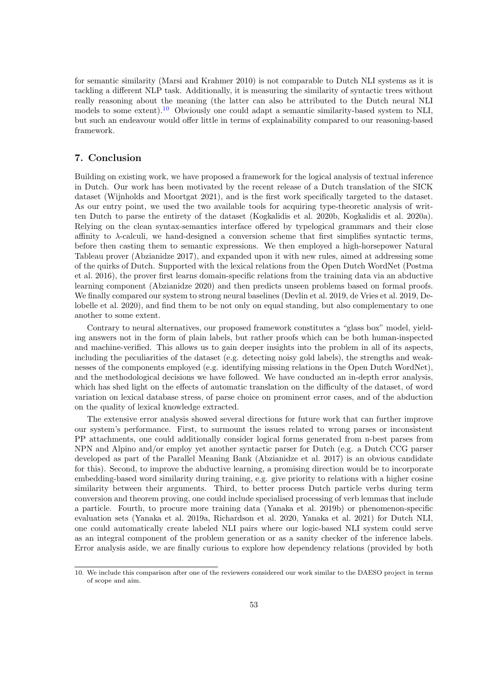for semantic similarity (Marsi and Krahmer 2010) is not comparable to Dutch NLI systems as it is tackling a different NLP task. Additionally, it is measuring the similarity of syntactic trees without really reasoning about the meaning (the latter can also be attributed to the Dutch neural NLI models to some extent).<sup>[10](#page-18-0)</sup> Obviously one could adapt a semantic similarity-based system to NLI, but such an endeavour would offer little in terms of explainability compared to our reasoning-based framework.

# 7. Conclusion

Building on existing work, we have proposed a framework for the logical analysis of textual inference in Dutch. Our work has been motivated by the recent release of a Dutch translation of the SICK dataset (Wijnholds and Moortgat 2021), and is the first work specifically targeted to the dataset. As our entry point, we used the two available tools for acquiring type-theoretic analysis of written Dutch to parse the entirety of the dataset (Kogkalidis et al. 2020b, Kogkalidis et al. 2020a). Relying on the clean syntax-semantics interface offered by typelogical grammars and their close affinity to  $\lambda$ -calculi, we hand-designed a conversion scheme that first simplifies syntactic terms, before then casting them to semantic expressions. We then employed a high-horsepower Natural Tableau prover (Abzianidze 2017), and expanded upon it with new rules, aimed at addressing some of the quirks of Dutch. Supported with the lexical relations from the Open Dutch WordNet (Postma et al. 2016), the prover first learns domain-specific relations from the training data via an abductive learning component (Abzianidze 2020) and then predicts unseen problems based on formal proofs. We finally compared our system to strong neural baselines (Devlin et al. 2019, de Vries et al. 2019, Delobelle et al. 2020), and find them to be not only on equal standing, but also complementary to one another to some extent.

Contrary to neural alternatives, our proposed framework constitutes a "glass box" model, yielding answers not in the form of plain labels, but rather proofs which can be both human-inspected and machine-verified. This allows us to gain deeper insights into the problem in all of its aspects, including the peculiarities of the dataset (e.g. detecting noisy gold labels), the strengths and weaknesses of the components employed (e.g. identifying missing relations in the Open Dutch WordNet), and the methodological decisions we have followed. We have conducted an in-depth error analysis, which has shed light on the effects of automatic translation on the difficulty of the dataset, of word variation on lexical database stress, of parse choice on prominent error cases, and of the abduction on the quality of lexical knowledge extracted.

The extensive error analysis showed several directions for future work that can further improve our system's performance. First, to surmount the issues related to wrong parses or inconsistent PP attachments, one could additionally consider logical forms generated from n-best parses from NPN and Alpino and/or employ yet another syntactic parser for Dutch (e.g. a Dutch CCG parser developed as part of the Parallel Meaning Bank (Abzianidze et al. 2017) is an obvious candidate for this). Second, to improve the abductive learning, a promising direction would be to incorporate embedding-based word similarity during training, e.g. give priority to relations with a higher cosine similarity between their arguments. Third, to better process Dutch particle verbs during term conversion and theorem proving, one could include specialised processing of verb lemmas that include a particle. Fourth, to procure more training data (Yanaka et al. 2019b) or phenomenon-specific evaluation sets (Yanaka et al. 2019a, Richardson et al. 2020, Yanaka et al. 2021) for Dutch NLI, one could automatically create labeled NLI pairs where our logic-based NLI system could serve as an integral component of the problem generation or as a sanity checker of the inference labels. Error analysis aside, we are finally curious to explore how dependency relations (provided by both

<span id="page-18-0"></span><sup>10.</sup> We include this comparison after one of the reviewers considered our work similar to the DAESO project in terms of scope and aim.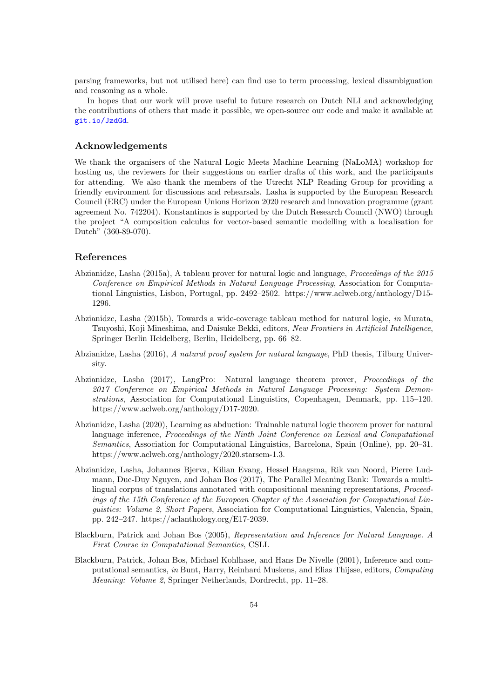parsing frameworks, but not utilised here) can find use to term processing, lexical disambiguation and reasoning as a whole.

In hopes that our work will prove useful to future research on Dutch NLI and acknowledging the contributions of others that made it possible, we open-source our code and make it available at <git.io/JzdGd>.

## Acknowledgements

We thank the organisers of the Natural Logic Meets Machine Learning (NaLoMA) workshop for hosting us, the reviewers for their suggestions on earlier drafts of this work, and the participants for attending. We also thank the members of the Utrecht NLP Reading Group for providing a friendly environment for discussions and rehearsals. Lasha is supported by the European Research Council (ERC) under the European Unions Horizon 2020 research and innovation programme (grant agreement No. 742204). Konstantinos is supported by the Dutch Research Council (NWO) through the project "A composition calculus for vector-based semantic modelling with a localisation for Dutch" (360-89-070).

# References

- Abzianidze, Lasha (2015a), A tableau prover for natural logic and language, Proceedings of the 2015 Conference on Empirical Methods in Natural Language Processing, Association for Computational Linguistics, Lisbon, Portugal, pp. 2492–2502. https://www.aclweb.org/anthology/D15- 1296.
- Abzianidze, Lasha (2015b), Towards a wide-coverage tableau method for natural logic, in Murata, Tsuyoshi, Koji Mineshima, and Daisuke Bekki, editors, New Frontiers in Artificial Intelligence, Springer Berlin Heidelberg, Berlin, Heidelberg, pp. 66–82.
- Abzianidze, Lasha (2016), A natural proof system for natural language, PhD thesis, Tilburg University.
- Abzianidze, Lasha (2017), LangPro: Natural language theorem prover, Proceedings of the 2017 Conference on Empirical Methods in Natural Language Processing: System Demonstrations, Association for Computational Linguistics, Copenhagen, Denmark, pp. 115–120. https://www.aclweb.org/anthology/D17-2020.
- Abzianidze, Lasha (2020), Learning as abduction: Trainable natural logic theorem prover for natural language inference, Proceedings of the Ninth Joint Conference on Lexical and Computational Semantics, Association for Computational Linguistics, Barcelona, Spain (Online), pp. 20–31. https://www.aclweb.org/anthology/2020.starsem-1.3.
- Abzianidze, Lasha, Johannes Bjerva, Kilian Evang, Hessel Haagsma, Rik van Noord, Pierre Ludmann, Duc-Duy Nguyen, and Johan Bos (2017), The Parallel Meaning Bank: Towards a multilingual corpus of translations annotated with compositional meaning representations, Proceedings of the 15th Conference of the European Chapter of the Association for Computational Linguistics: Volume 2, Short Papers, Association for Computational Linguistics, Valencia, Spain, pp. 242–247. https://aclanthology.org/E17-2039.
- Blackburn, Patrick and Johan Bos (2005), Representation and Inference for Natural Language. A First Course in Computational Semantics, CSLI.
- Blackburn, Patrick, Johan Bos, Michael Kohlhase, and Hans De Nivelle (2001), Inference and computational semantics, in Bunt, Harry, Reinhard Muskens, and Elias Thijsse, editors, Computing Meaning: Volume 2, Springer Netherlands, Dordrecht, pp. 11–28.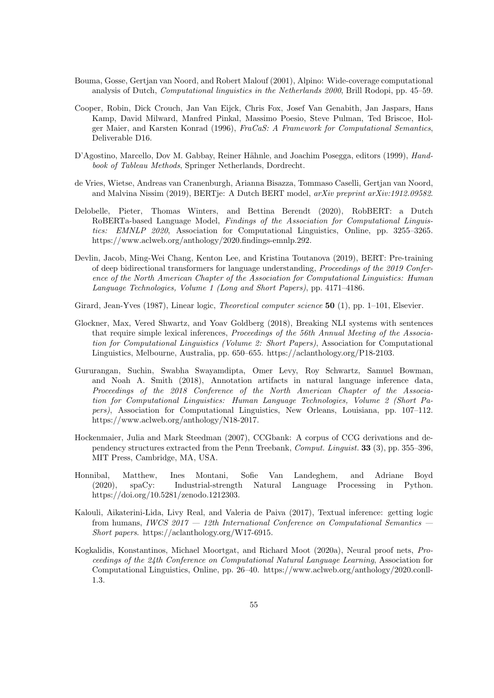- Bouma, Gosse, Gertjan van Noord, and Robert Malouf (2001), Alpino: Wide-coverage computational analysis of Dutch, Computational linguistics in the Netherlands 2000, Brill Rodopi, pp. 45–59.
- Cooper, Robin, Dick Crouch, Jan Van Eijck, Chris Fox, Josef Van Genabith, Jan Jaspars, Hans Kamp, David Milward, Manfred Pinkal, Massimo Poesio, Steve Pulman, Ted Briscoe, Holger Maier, and Karsten Konrad (1996), FraCaS: A Framework for Computational Semantics, Deliverable D16.
- D'Agostino, Marcello, Dov M. Gabbay, Reiner Hähnle, and Joachim Posegga, editors (1999), Handbook of Tableau Methods, Springer Netherlands, Dordrecht.
- de Vries, Wietse, Andreas van Cranenburgh, Arianna Bisazza, Tommaso Caselli, Gertjan van Noord, and Malvina Nissim (2019), BERTje: A Dutch BERT model, arXiv preprint arXiv:1912.09582.
- Delobelle, Pieter, Thomas Winters, and Bettina Berendt (2020), RobBERT: a Dutch RoBERTa-based Language Model, Findings of the Association for Computational Linguistics: EMNLP 2020, Association for Computational Linguistics, Online, pp. 3255–3265. https://www.aclweb.org/anthology/2020.findings-emnlp.292.
- Devlin, Jacob, Ming-Wei Chang, Kenton Lee, and Kristina Toutanova (2019), BERT: Pre-training of deep bidirectional transformers for language understanding, Proceedings of the 2019 Conference of the North American Chapter of the Association for Computational Linguistics: Human Language Technologies, Volume 1 (Long and Short Papers), pp. 4171–4186.
- Girard, Jean-Yves (1987), Linear logic, *Theoretical computer science* 50 (1), pp. 1–101, Elsevier.
- Glockner, Max, Vered Shwartz, and Yoav Goldberg (2018), Breaking NLI systems with sentences that require simple lexical inferences, Proceedings of the 56th Annual Meeting of the Association for Computational Linguistics (Volume 2: Short Papers), Association for Computational Linguistics, Melbourne, Australia, pp. 650–655. https://aclanthology.org/P18-2103.
- Gururangan, Suchin, Swabha Swayamdipta, Omer Levy, Roy Schwartz, Samuel Bowman, and Noah A. Smith (2018), Annotation artifacts in natural language inference data, Proceedings of the 2018 Conference of the North American Chapter of the Association for Computational Linguistics: Human Language Technologies, Volume 2 (Short Papers), Association for Computational Linguistics, New Orleans, Louisiana, pp. 107–112. https://www.aclweb.org/anthology/N18-2017.
- Hockenmaier, Julia and Mark Steedman (2007), CCGbank: A corpus of CCG derivations and dependency structures extracted from the Penn Treebank, Comput. Linguist. 33 (3), pp. 355–396, MIT Press, Cambridge, MA, USA.
- Honnibal, Matthew, Ines Montani, Sofie Van Landeghem, and Adriane Boyd (2020), spaCy: Industrial-strength Natural Language Processing in Python. https://doi.org/10.5281/zenodo.1212303.
- Kalouli, Aikaterini-Lida, Livy Real, and Valeria de Paiva (2017), Textual inference: getting logic from humans, IWCS  $2017 - 12$ th International Conference on Computational Semantics -Short papers. https://aclanthology.org/W17-6915.
- Kogkalidis, Konstantinos, Michael Moortgat, and Richard Moot (2020a), Neural proof nets, Proceedings of the 24th Conference on Computational Natural Language Learning, Association for Computational Linguistics, Online, pp. 26–40. https://www.aclweb.org/anthology/2020.conll-1.3.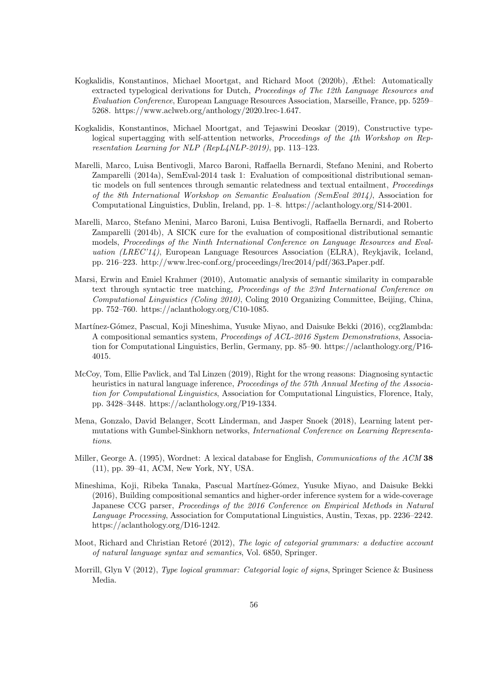- Kogkalidis, Konstantinos, Michael Moortgat, and Richard Moot (2020b), Æthel: Automatically extracted typelogical derivations for Dutch, Proceedings of The 12th Language Resources and Evaluation Conference, European Language Resources Association, Marseille, France, pp. 5259– 5268. https://www.aclweb.org/anthology/2020.lrec-1.647.
- Kogkalidis, Konstantinos, Michael Moortgat, and Tejaswini Deoskar (2019), Constructive typelogical supertagging with self-attention networks, *Proceedings of the 4th Workshop on Rep*resentation Learning for NLP (RepL4NLP-2019), pp. 113–123.
- Marelli, Marco, Luisa Bentivogli, Marco Baroni, Raffaella Bernardi, Stefano Menini, and Roberto Zamparelli (2014a), SemEval-2014 task 1: Evaluation of compositional distributional semantic models on full sentences through semantic relatedness and textual entailment, Proceedings of the 8th International Workshop on Semantic Evaluation (SemEval 2014), Association for Computational Linguistics, Dublin, Ireland, pp. 1–8. https://aclanthology.org/S14-2001.
- Marelli, Marco, Stefano Menini, Marco Baroni, Luisa Bentivogli, Raffaella Bernardi, and Roberto Zamparelli (2014b), A SICK cure for the evaluation of compositional distributional semantic models, Proceedings of the Ninth International Conference on Language Resources and Evaluation (LREC'14), European Language Resources Association (ELRA), Reykjavik, Iceland, pp. 216–223. http://www.lrec-conf.org/proceedings/lrec2014/pdf/363 Paper.pdf.
- Marsi, Erwin and Emiel Krahmer (2010), Automatic analysis of semantic similarity in comparable text through syntactic tree matching, Proceedings of the 23rd International Conference on Computational Linguistics (Coling 2010), Coling 2010 Organizing Committee, Beijing, China, pp. 752–760. https://aclanthology.org/C10-1085.
- Martínez-Gómez, Pascual, Koji Mineshima, Yusuke Miyao, and Daisuke Bekki (2016), ccg2lambda: A compositional semantics system, Proceedings of ACL-2016 System Demonstrations, Association for Computational Linguistics, Berlin, Germany, pp. 85–90. https://aclanthology.org/P16- 4015.
- McCoy, Tom, Ellie Pavlick, and Tal Linzen (2019), Right for the wrong reasons: Diagnosing syntactic heuristics in natural language inference, Proceedings of the 57th Annual Meeting of the Association for Computational Linguistics, Association for Computational Linguistics, Florence, Italy, pp. 3428–3448. https://aclanthology.org/P19-1334.
- Mena, Gonzalo, David Belanger, Scott Linderman, and Jasper Snoek (2018), Learning latent permutations with Gumbel-Sinkhorn networks, International Conference on Learning Representations.
- Miller, George A. (1995), Wordnet: A lexical database for English, Communications of the ACM 38 (11), pp. 39–41, ACM, New York, NY, USA.
- Mineshima, Koji, Ribeka Tanaka, Pascual Martínez-Gómez, Yusuke Miyao, and Daisuke Bekki (2016), Building compositional semantics and higher-order inference system for a wide-coverage Japanese CCG parser, Proceedings of the 2016 Conference on Empirical Methods in Natural Language Processing, Association for Computational Linguistics, Austin, Texas, pp. 2236–2242. https://aclanthology.org/D16-1242.
- Moot, Richard and Christian Retoré (2012), The logic of categorial grammars: a deductive account of natural language syntax and semantics, Vol. 6850, Springer.
- Morrill, Glyn V (2012), Type logical grammar: Categorial logic of signs, Springer Science & Business Media.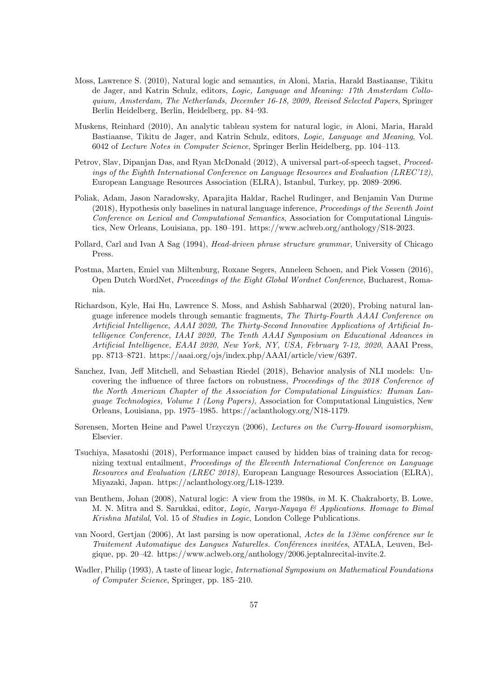- Moss, Lawrence S. (2010), Natural logic and semantics, in Aloni, Maria, Harald Bastiaanse, Tikitu de Jager, and Katrin Schulz, editors, Logic, Language and Meaning: 17th Amsterdam Colloquium, Amsterdam, The Netherlands, December 16-18, 2009, Revised Selected Papers, Springer Berlin Heidelberg, Berlin, Heidelberg, pp. 84–93.
- Muskens, Reinhard (2010), An analytic tableau system for natural logic, in Aloni, Maria, Harald Bastiaanse, Tikitu de Jager, and Katrin Schulz, editors, Logic, Language and Meaning, Vol. 6042 of Lecture Notes in Computer Science, Springer Berlin Heidelberg, pp. 104–113.
- Petrov, Slav, Dipanjan Das, and Ryan McDonald (2012), A universal part-of-speech tagset, Proceedings of the Eighth International Conference on Language Resources and Evaluation (LREC'12), European Language Resources Association (ELRA), Istanbul, Turkey, pp. 2089–2096.
- Poliak, Adam, Jason Naradowsky, Aparajita Haldar, Rachel Rudinger, and Benjamin Van Durme (2018), Hypothesis only baselines in natural language inference, Proceedings of the Seventh Joint Conference on Lexical and Computational Semantics, Association for Computational Linguistics, New Orleans, Louisiana, pp. 180–191. https://www.aclweb.org/anthology/S18-2023.
- Pollard, Carl and Ivan A Sag (1994), Head-driven phrase structure grammar, University of Chicago Press.
- Postma, Marten, Emiel van Miltenburg, Roxane Segers, Anneleen Schoen, and Piek Vossen (2016), Open Dutch WordNet, Proceedings of the Eight Global Wordnet Conference, Bucharest, Romania.
- Richardson, Kyle, Hai Hu, Lawrence S. Moss, and Ashish Sabharwal (2020), Probing natural language inference models through semantic fragments, The Thirty-Fourth AAAI Conference on Artificial Intelligence, AAAI 2020, The Thirty-Second Innovative Applications of Artificial Intelligence Conference, IAAI 2020, The Tenth AAAI Symposium on Educational Advances in Artificial Intelligence, EAAI 2020, New York, NY, USA, February 7-12, 2020, AAAI Press, pp. 8713–8721. https://aaai.org/ojs/index.php/AAAI/article/view/6397.
- Sanchez, Ivan, Jeff Mitchell, and Sebastian Riedel (2018), Behavior analysis of NLI models: Uncovering the influence of three factors on robustness, Proceedings of the 2018 Conference of the North American Chapter of the Association for Computational Linguistics: Human Language Technologies, Volume 1 (Long Papers), Association for Computational Linguistics, New Orleans, Louisiana, pp. 1975–1985. https://aclanthology.org/N18-1179.
- Sørensen, Morten Heine and Pawel Urzyczyn (2006), Lectures on the Curry-Howard isomorphism, Elsevier.
- Tsuchiya, Masatoshi (2018), Performance impact caused by hidden bias of training data for recognizing textual entailment, Proceedings of the Eleventh International Conference on Language Resources and Evaluation (LREC 2018), European Language Resources Association (ELRA), Miyazaki, Japan. https://aclanthology.org/L18-1239.
- van Benthem, Johan (2008), Natural logic: A view from the 1980s, in M. K. Chakraborty, B. Lowe, M. N. Mitra and S. Sarukkai, editor, Logic, Navya-Nayaya & Applications. Homage to Bimal Krishna Matilal, Vol. 15 of Studies in Logic, London College Publications.
- van Noord, Gertjan (2006), At last parsing is now operational, Actes de la 13ème conférence sur le Traitement Automatique des Langues Naturelles. Conférences invitées, ATALA, Leuven, Belgique, pp. 20–42. https://www.aclweb.org/anthology/2006.jeptalnrecital-invite.2.
- Wadler, Philip (1993), A taste of linear logic, International Symposium on Mathematical Foundations of Computer Science, Springer, pp. 185–210.